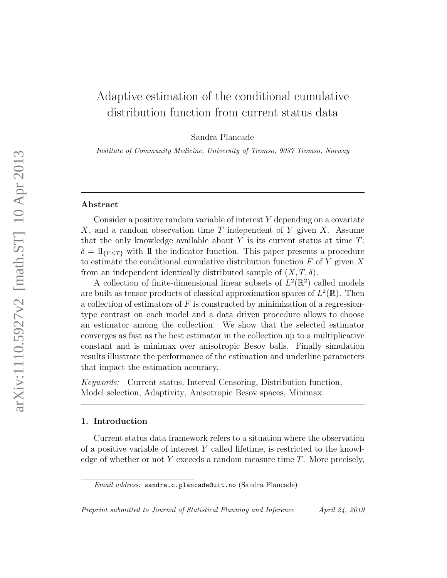# Adaptive estimation of the conditional cumulative distribution function from current status data

Sandra Plancade

Institute of Community Medicine, University of Tromso, 9037 Tromso, Norway

## Abstract

Consider a positive random variable of interest  $Y$  depending on a covariate  $X$ , and a random observation time T independent of Y given X. Assume that the only knowledge available about  $Y$  is its current status at time  $T$ :  $\delta = \mathbb{I}_{\{Y \leq T\}}$  with II the indicator function. This paper presents a procedure to estimate the conditional cumulative distribution function  $F$  of  $Y$  given  $X$ from an independent identically distributed sample of  $(X, T, \delta)$ .

A collection of finite-dimensional linear subsets of  $L^2(\mathbb{R}^2)$  called models are built as tensor products of classical approximation spaces of  $L^2(\mathbb{R})$ . Then a collection of estimators of  $F$  is constructed by minimization of a regressiontype contrast on each model and a data driven procedure allows to choose an estimator among the collection. We show that the selected estimator converges as fast as the best estimator in the collection up to a multiplicative constant and is minimax over anisotropic Besov balls. Finally simulation results illustrate the performance of the estimation and underline parameters that impact the estimation accuracy.

Keywords: Current status, Interval Censoring, Distribution function, Model selection, Adaptivity, Anisotropic Besov spaces, Minimax.

## 1. Introduction

Current status data framework refers to a situation where the observation of a positive variable of interest  $Y$  called lifetime, is restricted to the knowledge of whether or not Y exceeds a random measure time  $T$ . More precisely,

Email address: sandra.c.plancade@uit.no (Sandra Plancade)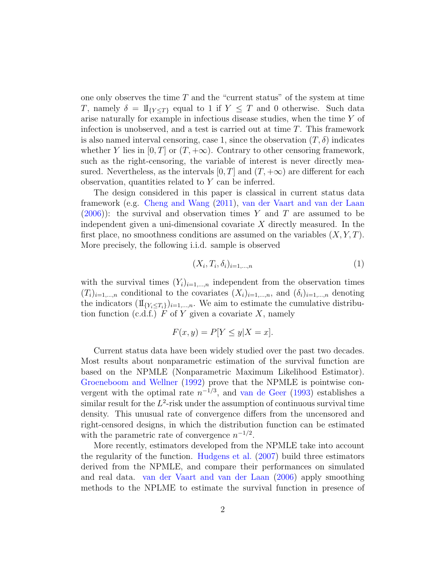one only observes the time  $T$  and the "current status" of the system at time T, namely  $\delta = \mathbb{I}_{\{Y \leq T\}}$  equal to 1 if  $Y \leq T$  and 0 otherwise. Such data arise naturally for example in infectious disease studies, when the time Y of infection is unobserved, and a test is carried out at time T. This framework is also named interval censoring, case 1, since the observation  $(T, \delta)$  indicates whether Y lies in  $[0, T]$  or  $(T, +\infty)$ . Contrary to other censoring framework, such as the right-censoring, the variable of interest is never directly measured. Nevertheless, as the intervals  $[0, T]$  and  $(T, +\infty)$  are different for each observation, quantities related to  $Y$  can be inferred.

The design considered in this paper is classical in current status data framework (e.g. [Cheng and Wang](#page-39-0) [\(2011\)](#page-39-0), [van der Vaart and van der Laan](#page-41-0)  $(2006)$ : the survival and observation times Y and T are assumed to be independent given a uni-dimensional covariate  $X$  directly measured. In the first place, no smoothness conditions are assumed on the variables  $(X, Y, T)$ . More precisely, the following i.i.d. sample is observed

<span id="page-1-0"></span>
$$
(X_i, T_i, \delta_i)_{i=1,\dots,n} \tag{1}
$$

with the survival times  $(Y_i)_{i=1,\dots,n}$  independent from the observation times  $(T_i)_{i=1,\dots,n}$  conditional to the covariates  $(X_i)_{i=1,\dots,n}$ , and  $(\delta_i)_{i=1,\dots,n}$  denoting the indicators  $(\mathbb{I}_{\{Y_i \leq T_i\}})_{i=1,\dots,n}$ . We aim to estimate the cumulative distribution function (c.d.f.)  $F$  of  $Y$  given a covariate  $X$ , namely

$$
F(x, y) = P[Y \le y | X = x].
$$

Current status data have been widely studied over the past two decades. Most results about nonparametric estimation of the survival function are based on the NPMLE (Nonparametric Maximum Likelihood Estimator). [Groeneboom and Wellner](#page-40-0) [\(1992\)](#page-40-0) prove that the NPMLE is pointwise convergent with the optimal rate  $n^{-1/3}$ , and [van de Geer](#page-41-1) [\(1993\)](#page-41-1) establishes a similar result for the  $L^2$ -risk under the assumption of continuous survival time density. This unusual rate of convergence differs from the uncensored and right-censored designs, in which the distribution function can be estimated with the parametric rate of convergence  $n^{-1/2}$ .

More recently, estimators developed from the NPMLE take into account the regularity of the function. [Hudgens et al.](#page-40-1) [\(2007\)](#page-40-1) build three estimators derived from the NPMLE, and compare their performances on simulated and real data. [van der Vaart and van der Laan](#page-41-0) [\(2006\)](#page-41-0) apply smoothing methods to the NPLME to estimate the survival function in presence of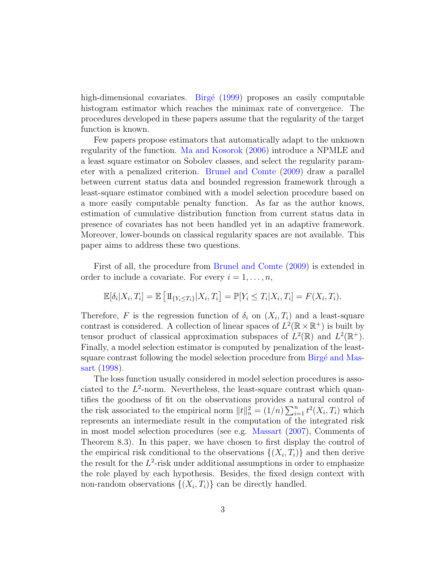high-dimensional covariates. Birgé [\(1999\)](#page-39-1) proposes an easily computable histogram estimator which reaches the minimax rate of convergence. The procedures developed in these papers assume that the regularity of the target function is known.

Few papers propose estimators that automatically adapt to the unknown regularity of the function. [Ma and Kosorok](#page-40-2) [\(2006\)](#page-40-2) introduce a NPMLE and a least square estimator on Sobolev classes, and select the regularity parameter with a penalized criterion. [Brunel and Comte](#page-39-2) [\(2009\)](#page-39-2) draw a parallel between current status data and bounded regression framework through a least-square estimator combined with a model selection procedure based on a more easily computable penalty function. As far as the author knows, estimation of cumulative distribution function from current status data in presence of covariates has not been handled yet in an adaptive framework. Moreover, lower-bounds on classical regularity spaces are not available. This paper aims to address these two questions.

First of all, the procedure from [Brunel and Comte](#page-39-2) [\(2009\)](#page-39-2) is extended in order to include a covariate. For every  $i = 1, \ldots, n$ ,

$$
\mathbb{E}[\delta_i|X_i,T_i] = \mathbb{E}\left[\mathbb{1}_{\{Y_i \le T_i\}}|X_i,T_i\right] = \mathbb{P}[Y_i \le T_i|X_i,T_i] = F(X_i,T_i).
$$

Therefore, F is the regression function of  $\delta_i$  on  $(X_i, T_i)$  and a least-square contrast is considered. A collection of linear spaces of  $L^2(\mathbb{R} \times \mathbb{R}^+)$  is built by tensor product of classical approximation subspaces of  $L^2(\mathbb{R})$  and  $L^2(\mathbb{R}^+)$ . Finally, a model selection estimator is computed by penalization of the leastsquare contrast following the model selection procedure from Birgé and Mas[sart](#page-39-3) [\(1998\)](#page-39-3).

The loss function usually considered in model selection procedures is associated to the  $L^2$ -norm. Nevertheless, the least-square contrast which quantifies the goodness of fit on the observations provides a natural control of the risk associated to the empirical norm  $||t||_n^2 = (1/n) \sum_{i=1}^n t^2(X_i, T_i)$  which represents an intermediate result in the computation of the integrated risk in most model selection procedures (see e.g. [Massart](#page-40-3) [\(2007\)](#page-40-3), Comments of Theorem 8.3). In this paper, we have chosen to first display the control of the empirical risk conditional to the observations  $\{(X_i, T_i)\}\$ and then derive the result for the  $L^2$ -risk under additional assumptions in order to emphasize the role played by each hypothesis. Besides, the fixed design context with non-random observations  $\{(X_i, T_i)\}\)$  can be directly handled.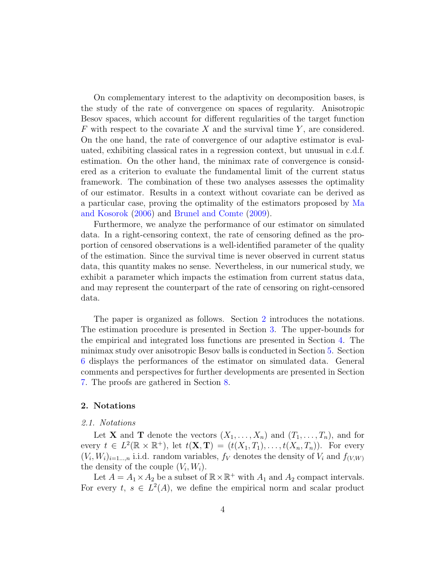On complementary interest to the adaptivity on decomposition bases, is the study of the rate of convergence on spaces of regularity. Anisotropic Besov spaces, which account for different regularities of the target function  $F$  with respect to the covariate  $X$  and the survival time  $Y$ , are considered. On the one hand, the rate of convergence of our adaptive estimator is evaluated, exhibiting classical rates in a regression context, but unusual in c.d.f. estimation. On the other hand, the minimax rate of convergence is considered as a criterion to evaluate the fundamental limit of the current status framework. The combination of these two analyses assesses the optimality of our estimator. Results in a context without covariate can be derived as a particular case, proving the optimality of the estimators proposed by [Ma](#page-40-2) [and Kosorok](#page-40-2) [\(2006\)](#page-40-2) and [Brunel and Comte](#page-39-2) [\(2009\)](#page-39-2).

Furthermore, we analyze the performance of our estimator on simulated data. In a right-censoring context, the rate of censoring defined as the proportion of censored observations is a well-identified parameter of the quality of the estimation. Since the survival time is never observed in current status data, this quantity makes no sense. Nevertheless, in our numerical study, we exhibit a parameter which impacts the estimation from current status data, and may represent the counterpart of the rate of censoring on right-censored data.

The paper is organized as follows. Section [2](#page-3-0) introduces the notations. The estimation procedure is presented in Section [3.](#page-4-0) The upper-bounds for the empirical and integrated loss functions are presented in Section [4.](#page-8-0) The minimax study over anisotropic Besov balls is conducted in Section [5.](#page-10-0) Section [6](#page-13-0) displays the performances of the estimator on simulated data. General comments and perspectives for further developments are presented in Section [7.](#page-20-0) The proofs are gathered in Section [8.](#page-27-0)

## <span id="page-3-0"></span>2. Notations

## 2.1. Notations

Let **X** and **T** denote the vectors  $(X_1, \ldots, X_n)$  and  $(T_1, \ldots, T_n)$ , and for every  $t \in L^2(\mathbb{R} \times \mathbb{R}^+),$  let  $t(\mathbf{X}, \mathbf{T}) = (t(X_1, T_1), \dots, t(X_n, T_n)).$  For every  $(V_i, W_i)_{i=1\ldots,n}$  i.i.d. random variables,  $f_V$  denotes the density of  $V_i$  and  $f_{(V,W)}$ the density of the couple  $(V_i, W_i)$ .

Let  $A = A_1 \times A_2$  be a subset of  $\mathbb{R} \times \mathbb{R}^+$  with  $A_1$  and  $A_2$  compact intervals. For every  $t, s \in L^2(A)$ , we define the empirical norm and scalar product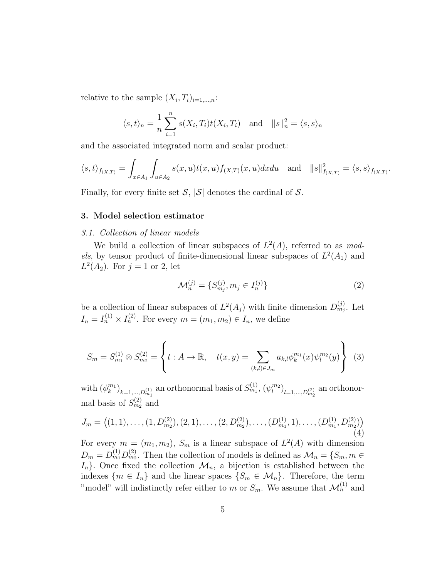relative to the sample  $(X_i, T_i)_{i=1,\dots,n}$ :

$$
\langle s,t\rangle_n = \frac{1}{n} \sum_{i=1}^n s(X_i,T_i)t(X_i,T_i)
$$
 and  $||s||_n^2 = \langle s,s\rangle_n$ 

and the associated integrated norm and scalar product:

$$
\langle s, t \rangle_{f(x,T)} = \int_{x \in A_1} \int_{u \in A_2} s(x,u)t(x,u)f_{(X,T)}(x,u)dxdu \text{ and } ||s||^2_{f(x,T)} = \langle s, s \rangle_{f(x,T)}.
$$

Finally, for every finite set  $S$ ,  $|S|$  denotes the cardinal of S.

## <span id="page-4-0"></span>3. Model selection estimator

#### 3.1. Collection of linear models

We build a collection of linear subspaces of  $L^2(A)$ , referred to as models, by tensor product of finite-dimensional linear subspaces of  $L^2(A_1)$  and  $L^2(A_2)$ . For  $j = 1$  or 2, let

$$
\mathcal{M}_n^{(j)} = \{ S_{m_j}^{(j)}, m_j \in I_n^{(j)} \}
$$
 (2)

be a collection of linear subspaces of  $L^2(A_j)$  with finite dimension  $D_{m_j}^{(j)}$ . Let  $I_n = I_n^{(1)} \times I_n^{(2)}$ . For every  $m = (m_1, m_2) \in I_n$ , we define

$$
S_m = S_{m_1}^{(1)} \otimes S_{m_2}^{(2)} = \left\{ t : A \to \mathbb{R}, \quad t(x, y) = \sum_{(k,l) \in J_m} a_{k,l} \phi_k^{m_1}(x) \psi_l^{m_2}(y) \right\}
$$
(3)

with  $(\phi_k^{m_1})_{k=1,\dots,D_{m_1}^{(1)}}$  an orthonormal basis of  $S_{m_1}^{(1)}$ ,  $(\psi_l^{m_2})_{l=1,\dots,D_{m_2}^{(2)}}$  an orthonormal basis of  $S_{m_2}^{(2)}$  and

$$
J_m = \left( (1, 1), \dots, (1, D_{m_2}^{(2)}), (2, 1), \dots, (2, D_{m_2}^{(2)}), \dots, (D_{m_1}^{(1)}, 1), \dots, (D_{m_1}^{(1)}, D_{m_2}^{(2)}) \right)
$$
\n
$$
\tag{4}
$$

For every  $m = (m_1, m_2)$ ,  $S_m$  is a linear subspace of  $L^2(A)$  with dimension  $D_m = D_{m_1}^{(1)} D_{m_2}^{(2)}$ . Then the collection of models is defined as  $\mathcal{M}_n = \{S_m, m \in$  $I_n$ . Once fixed the collection  $\mathcal{M}_n$ , a bijection is established between the indexes  $\{m \in I_n\}$  and the linear spaces  $\{S_m \in \mathcal{M}_n\}$ . Therefore, the term "model" will indistinctly refer either to m or  $S_m$ . We assume that  $\mathcal{M}_n^{(1)}$  and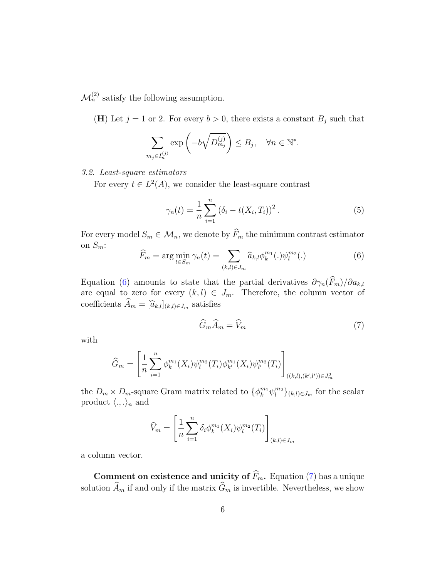$\mathcal{M}_n^{(2)}$  satisfy the following assumption.

(H) Let  $j = 1$  or 2. For every  $b > 0$ , there exists a constant  $B_j$  such that

$$
\sum_{m_j \in I_n^{(j)}} \exp\left(-b\sqrt{D_{m_j}^{(j)}}\right) \le B_j, \quad \forall n \in \mathbb{N}^*.
$$

## <span id="page-5-3"></span>3.2. Least-square estimators

For every  $t \in L^2(A)$ , we consider the least-square contrast

<span id="page-5-2"></span>
$$
\gamma_n(t) = \frac{1}{n} \sum_{i=1}^n (\delta_i - t(X_i, T_i))^2.
$$
 (5)

For every model  $S_m \in \mathcal{M}_n$ , we denote by  $\widehat{F}_m$  the minimum contrast estimator on  $S_m$ :

<span id="page-5-0"></span>
$$
\widehat{F}_m = \arg\min_{t \in S_m} \gamma_n(t) = \sum_{(k,l) \in J_m} \widehat{a}_{k,l} \phi_k^{m_1}(.) \psi_l^{m_2}(.) \tag{6}
$$

Equation [\(6\)](#page-5-0) amounts to state that the partial derivatives  $\partial \gamma_n(\widehat{F}_m)/\partial a_{k,l}$ are equal to zero for every  $(k, l) \in J_m$ . Therefore, the column vector of coefficients  $\widehat{A}_m = [\widehat{a}_{k,l}]_{(k,l)\in J_m}$  satisfies

<span id="page-5-1"></span>
$$
\widehat{G}_m \widehat{A}_m = \widehat{V}_m \tag{7}
$$

with

$$
\widehat{G}_m = \left[ \frac{1}{n} \sum_{i=1}^n \phi_k^{m_1}(X_i) \psi_l^{m_2}(T_i) \phi_{k'}^{m_1}(X_i) \psi_{l'}^{m_2}(T_i) \right]_{((k,l),(k',l')) \in J_m^2}
$$

the  $D_m \times D_m$ -square Gram matrix related to  $\{\phi_k^{m_1} \psi_l^{m_2}\}_{(k,l) \in J_m}$  for the scalar product  $\langle ., .\rangle_n$  and

$$
\widehat{V}_m = \left[\frac{1}{n}\sum_{i=1}^n \delta_i \phi_k^{m_1}(X_i) \psi_l^{m_2}(T_i)\right]_{(k,l)\in J_m}
$$

a column vector.

Comment on existence and unicity of  $\widehat{F}_m$ . Equation [\(7\)](#page-5-1) has a unique solution  $\widehat{A}_m$  if and only if the matrix  $\widehat{G}_m$  is invertible. Nevertheless, we show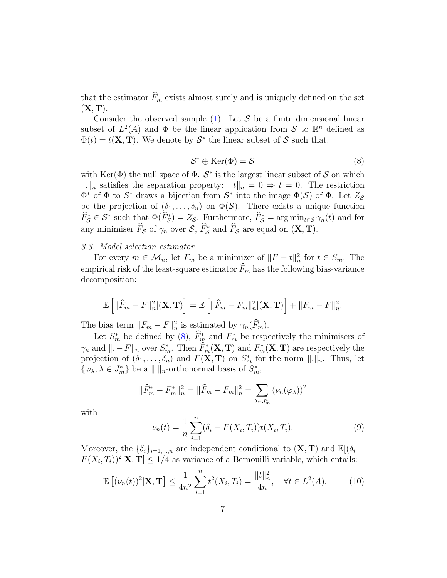that the estimator  $\widehat{F}_m$  exists almost surely and is uniquely defined on the set  $(X, T)$ .

Consider the observed sample  $(1)$ . Let S be a finite dimensional linear subset of  $L^2(A)$  and  $\Phi$  be the linear application from S to  $\mathbb{R}^n$  defined as  $\Phi(t) = t(\mathbf{X}, \mathbf{T})$ . We denote by  $S^*$  the linear subset of S such that:

<span id="page-6-0"></span>
$$
\mathcal{S}^* \oplus \text{Ker}(\Phi) = \mathcal{S}
$$
 (8)

with Ker( $\Phi$ ) the null space of  $\Phi$ .  $S^*$  is the largest linear subset of S on which  $\Vert \cdot \Vert_n$  satisfies the separation property:  $\Vert t \Vert_n = 0 \Rightarrow t = 0$ . The restriction  $\Phi^*$  of  $\Phi$  to  $\mathcal{S}^*$  draws a bijection from  $\mathcal{S}^*$  into the image  $\Phi(\mathcal{S})$  of  $\Phi$ . Let  $Z_{\mathcal{S}}$ be the projection of  $(\delta_1, \ldots, \delta_n)$  on  $\Phi(\mathcal{S})$ . There exists a unique function  $\widehat{F}_{\mathcal{S}}^* \in \mathcal{S}^*$  such that  $\Phi(\widehat{F}_{\mathcal{S}}^*) = Z_{\mathcal{S}}$ . Furthermore,  $\widehat{F}_{\mathcal{S}}^* = \arg \min_{t \in \mathcal{S}} \gamma_n(t)$  and for any minimiser  $\widehat{F}_{\mathcal{S}}$  of  $\gamma_n$  over  $\mathcal{S}, \widehat{F}_{\mathcal{S}}^*$  and  $\widehat{F}_{\mathcal{S}}$  are equal on  $(\mathbf{X}, \mathbf{T})$ .

# 3.3. Model selection estimator

For every  $m \in \mathcal{M}_n$ , let  $F_m$  be a minimizer of  $||F - t||_n^2$  for  $t \in S_m$ . The empirical risk of the least-square estimator  $\widehat{F}_m$  has the following bias-variance decomposition:

$$
\mathbb{E}\left[\|\widehat{F}_m-F\|_n^2|(\mathbf{X},\mathbf{T})\right]=\mathbb{E}\left[\|\widehat{F}_m-F_m\|_n^2|(\mathbf{X},\mathbf{T})\right]+\|F_m-F\|_n^2.
$$

The bias term  $||F_m - F||_n^2$  is estimated by  $\gamma_n(\widehat{F}_m)$ .

Let  $S_m^*$  be defined by  $(8)$ ,  $\hat{F}_m^*$  and  $F_m^*$  be respectively the minimisers of  $\gamma_n$  and  $\|\cdot - F\|_n$  over  $S_m^*$ . Then  $\widehat{F}_m^*(\mathbf{X}, \mathbf{T})$  and  $F_m^*(\mathbf{X}, \mathbf{T})$  are respectively the projection of  $(\delta_1, \ldots, \delta_n)$  and  $F(\mathbf{X}, \mathbf{T})$  on  $S_m^*$  for the norm  $\|\cdot\|_n$ . Thus, let  $\{\varphi_{\lambda}, \lambda \in J_m^*\}$  be a  $\|.\|_n$ -orthonormal basis of  $S_m^*$ ,

$$
\|\widehat{F}_m^* - F_m^*\|_n^2 = \|\widehat{F}_m - F_m\|_n^2 = \sum_{\lambda \in J_m^*} (\nu_n(\varphi_\lambda))^2
$$

with

<span id="page-6-1"></span>
$$
\nu_n(t) = \frac{1}{n} \sum_{i=1}^n (\delta_i - F(X_i, T_i)) t(X_i, T_i).
$$
\n(9)

Moreover, the  $\{\delta_i\}_{i=1,\dots,n}$  are independent conditional to  $(\mathbf{X}, \mathbf{T})$  and  $\mathbb{E}[(\delta_i F(X_i, T_i))^2|\mathbf{X}, \mathbf{T}| \leq 1/4$  as variance of a Bernouilli variable, which entails:

<span id="page-6-2"></span>
$$
\mathbb{E}\left[ (\nu_n(t))^2 | \mathbf{X}, \mathbf{T} \right] \le \frac{1}{4n^2} \sum_{i=1}^n t^2(X_i, T_i) = \frac{\|t\|_n^2}{4n}, \quad \forall t \in L^2(A). \tag{10}
$$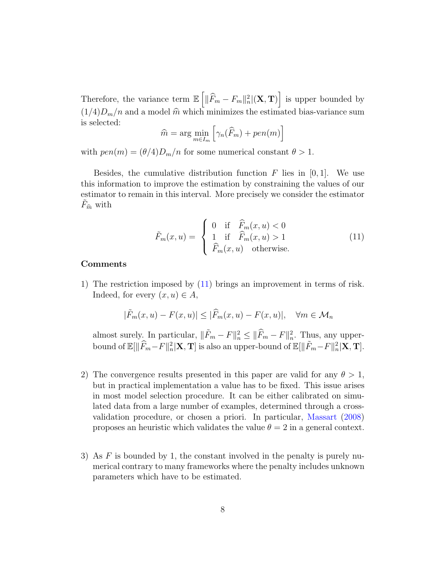Therefore, the variance term  $\mathbb{E}\left[\|\widehat{F}_m - F_m\|_n^2 |(\mathbf{X}, \mathbf{T})\right]$  is upper bounded by  $(1/4)D_m/n$  and a model  $\hat{m}$  which minimizes the estimated bias-variance sum is selected:

$$
\widehat{m} = \arg\min_{m \in I_m} \left[ \gamma_n(\widehat{F}_m) + pen(m) \right]
$$

with  $pen(m) = (\theta/4)D_m/n$  for some numerical constant  $\theta > 1$ .

Besides, the cumulative distribution function  $F$  lies in [0, 1]. We use this information to improve the estimation by constraining the values of our estimator to remain in this interval. More precisely we consider the estimator  $F_{\hat{m}}$  with

<span id="page-7-0"></span>
$$
\tilde{F}_m(x, u) = \begin{cases}\n0 & \text{if } \hat{F}_m(x, u) < 0 \\
1 & \text{if } \hat{F}_m(x, u) > 1 \\
\hat{F}_m(x, u) & \text{otherwise.} \n\end{cases}
$$
\n(11)

## Comments

1) The restriction imposed by [\(11\)](#page-7-0) brings an improvement in terms of risk. Indeed, for every  $(x, u) \in A$ ,

$$
|\tilde{F}_m(x, u) - F(x, u)| \leq |\widehat{F}_m(x, u) - F(x, u)|, \quad \forall m \in \mathcal{M}_n
$$

almost surely. In particular,  $\|\tilde{F}_m - F\|_n^2 \le \|\widehat{F}_m - F\|_n^2$ . Thus, any upperbound of  $\mathbb{E}[\|\widehat{F}_m-F\|_n^2|\mathbf{X}, \mathbf{T}]$  is also an upper-bound of  $\mathbb{E}[\|\widetilde{F}_m-F\|_n^2|\mathbf{X}, \mathbf{T}]$ .

- 2) The convergence results presented in this paper are valid for any  $\theta > 1$ , but in practical implementation a value has to be fixed. This issue arises in most model selection procedure. It can be either calibrated on simulated data from a large number of examples, determined through a crossvalidation procedure, or chosen a priori. In particular, [Massart](#page-40-4) [\(2008\)](#page-40-4) proposes an heuristic which validates the value  $\theta = 2$  in a general context.
- 3) As  $F$  is bounded by 1, the constant involved in the penalty is purely numerical contrary to many frameworks where the penalty includes unknown parameters which have to be estimated.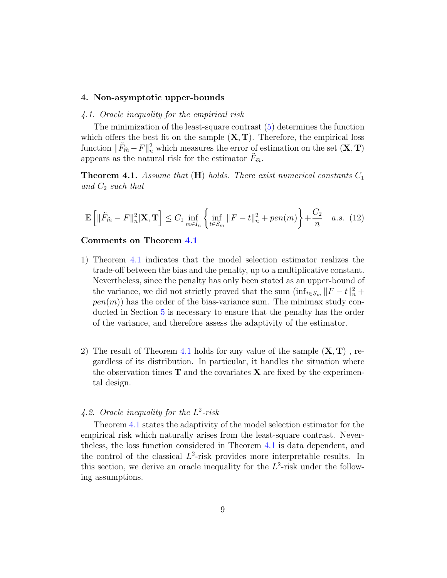#### <span id="page-8-0"></span>4. Non-asymptotic upper-bounds

#### 4.1. Oracle inequality for the empirical risk

The minimization of the least-square contrast [\(5\)](#page-5-2) determines the function which offers the best fit on the sample  $(X, T)$ . Therefore, the empirical loss function  $\|\tilde{F}_{\hat{m}} - F\|_n^2$  which measures the error of estimation on the set  $(\mathbf{X}, \mathbf{T})$ appears as the natural risk for the estimator  $F_{\hat{m}}$ .

<span id="page-8-1"></span>**Theorem 4.1.** Assume that  $(H)$  holds. There exist numerical constants  $C_1$ and  $C_2$  such that

<span id="page-8-2"></span>
$$
\mathbb{E}\left[\|\tilde{F}_{\hat{m}} - F\|_{n}^{2}|\mathbf{X}, \mathbf{T}\right] \le C_{1} \inf_{m \in I_{n}} \left\{\inf_{t \in S_{m}} \|F - t\|_{n}^{2} + pen(m)\right\} + \frac{C_{2}}{n} \quad a.s. \tag{12}
$$

## Comments on Theorem [4.1](#page-8-1)

- 1) Theorem [4](#page-8-1).1 indicates that the model selection estimator realizes the trade-off between the bias and the penalty, up to a multiplicative constant. Nevertheless, since the penalty has only been stated as an upper-bound of the variance, we did not strictly proved that the sum  $(\inf_{t \in S_m} ||F - t||_n^2 +$  $pen(m)$ ) has the order of the bias-variance sum. The minimax study conducted in Section [5](#page-10-0) is necessary to ensure that the penalty has the order of the variance, and therefore assess the adaptivity of the estimator.
- 2) The result of Theorem [4](#page-8-1).1 holds for any value of the sample  $(X, T)$ , regardless of its distribution. In particular, it handles the situation where the observation times  $T$  and the covariates  $X$  are fixed by the experimental design.

# 4.2. Oracle inequality for the  $L^2$ -risk

Theorem [4.1](#page-8-1) states the adaptivity of the model selection estimator for the empirical risk which naturally arises from the least-square contrast. Nevertheless, the loss function considered in Theorem [4.1](#page-8-1) is data dependent, and the control of the classical  $L^2$ -risk provides more interpretable results. In this section, we derive an oracle inequality for the  $L^2$ -risk under the following assumptions.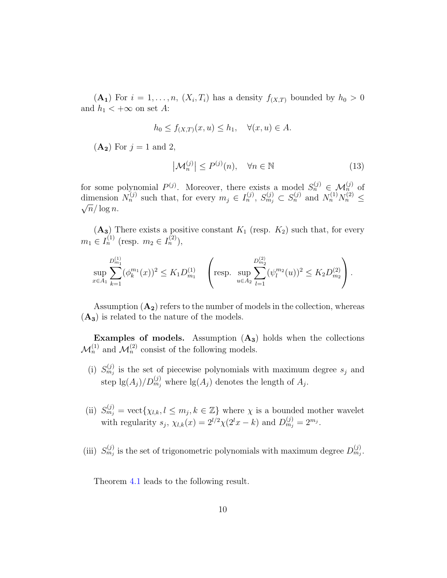$(A_1)$  For  $i = 1, \ldots, n$ ,  $(X_i, T_i)$  has a density  $f_{(X,T)}$  bounded by  $h_0 > 0$ and  $h_1 < +\infty$  on set A:

$$
h_0 \le f_{(X,T)}(x, u) \le h_1, \quad \forall (x, u) \in A.
$$

 $(A_2)$  For  $j = 1$  and 2,

$$
\left|\mathcal{M}_n^{(j)}\right| \le P^{(j)}(n), \quad \forall n \in \mathbb{N} \tag{13}
$$

for some polynomial  $P^{(j)}$ . Moreover, there exists a model  $S_n^{(j)} \in \mathcal{M}_n^{(j)}$  of dimension  $N_n^{(j)}$  such that, for every  $m_j \in I_n^{(j)}$ ,  $S_{m_j}^{(j)} \subset S_n^{(j)}$  and  $N_n^{(1)} N_n^{(2)} \leq$  $\sqrt{n}/\log n$ .

 $(A_3)$  There exists a positive constant  $K_1$  (resp.  $K_2$ ) such that, for every  $m_1 \in I_n^{(1)}$  (resp.  $m_2 \in I_n^{(2)}$ ),

$$
\sup_{x \in A_1} \sum_{k=1}^{D_{m_1}^{(1)}} (\phi_k^{m_1}(x))^2 \le K_1 D_{m_1}^{(1)} \left( \text{resp. } \sup_{u \in A_2} \sum_{l=1}^{D_{m_2}^{(2)}} (\psi_l^{m_2}(u))^2 \le K_2 D_{m_2}^{(2)} \right).
$$

Assumption  $(A_2)$  refers to the number of models in the collection, whereas  $(A_3)$  is related to the nature of the models.

Examples of models. Assumption  $(A_3)$  holds when the collections  $\mathcal{M}_n^{(1)}$  and  $\mathcal{M}_n^{(2)}$  consist of the following models.

- (i)  $S_{m_j}^{(j)}$  is the set of piecewise polynomials with maximum degree  $s_j$  and step  $\lg(A_j)/D_{m_j}^{(j)}$  where  $\lg(A_j)$  denotes the length of  $A_j$ .
- (ii)  $S_{m_j}^{(j)} = \text{vect}\{\chi_{l,k}, l \leq m_j, k \in \mathbb{Z}\}\$  where  $\chi$  is a bounded mother wavelet with regularity  $s_j$ ,  $\chi_{l,k}(x) = 2^{l/2}\chi(2^lx - k)$  and  $D_{m_j}^{(j)} = 2^{m_j}$ .
- (iii)  $S_{m_j}^{(j)}$  is the set of trigonometric polynomials with maximum degree  $D_{m_j}^{(j)}$ .

Theorem [4](#page-8-1).1 leads to the following result.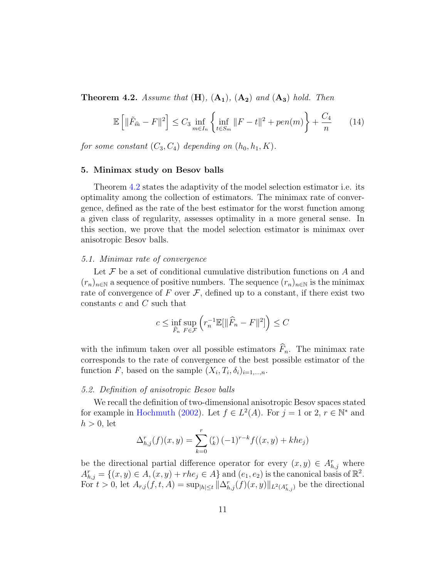<span id="page-10-1"></span>**Theorem 4.2.** Assume that  $(H)$ ,  $(A_1)$ ,  $(A_2)$  and  $(A_3)$  hold. Then

$$
\mathbb{E}\left[\|\tilde{F}_{\hat{m}} - F\|^2\right] \le C_3 \inf_{m \in I_n} \left\{\inf_{t \in S_m} \|F - t\|^2 + pen(m)\right\} + \frac{C_4}{n} \tag{14}
$$

for some constant  $(C_3, C_4)$  depending on  $(h_0, h_1, K)$ .

#### <span id="page-10-0"></span>5. Minimax study on Besov balls

Theorem [4.2](#page-10-1) states the adaptivity of the model selection estimator i.e. its optimality among the collection of estimators. The minimax rate of convergence, defined as the rate of the best estimator for the worst function among a given class of regularity, assesses optimality in a more general sense. In this section, we prove that the model selection estimator is minimax over anisotropic Besov balls.

#### 5.1. Minimax rate of convergence

Let  $\mathcal F$  be a set of conditional cumulative distribution functions on  $A$  and  $(r_n)_{n\in\mathbb{N}}$  a sequence of positive numbers. The sequence  $(r_n)_{n\in\mathbb{N}}$  is the minimax rate of convergence of  $F$  over  $\mathcal F$ , defined up to a constant, if there exist two constants c and C such that

$$
c \le \inf_{\widehat{F}_n} \sup_{F \in \mathcal{F}} \left( r_n^{-1} \mathbb{E}[\|\widehat{F}_n - F\|^2] \right) \le C
$$

with the infimum taken over all possible estimators  $\widehat{F}_n$ . The minimax rate corresponds to the rate of convergence of the best possible estimator of the function F, based on the sample  $(X_i, T_i, \delta_i)_{i=1,\dots,n}$ .

#### 5.2. Definition of anisotropic Besov balls

We recall the definition of two-dimensional anisotropic Besov spaces stated for example in [Hochmuth](#page-40-5) [\(2002\)](#page-40-5). Let  $f \in L^2(A)$ . For  $j = 1$  or  $2, r \in \mathbb{N}^*$  and  $h > 0$ , let

$$
\Delta_{h,j}^r(f)(x,y) = \sum_{k=0}^r \binom{r}{k} (-1)^{r-k} f((x,y) + k h e_j)
$$

be the directional partial difference operator for every  $(x, y) \in A_{h,j}^r$  where  $A_{h,j}^r = \{(x, y) \in A, (x, y) + rhe_j \in A\}$  and  $(e_1, e_2)$  is the canonical basis of  $\mathbb{R}^2$ . For  $t > 0$ , let  $A_{r,j}(f, t, A) = \sup_{|h| \le t} ||\Delta_{h,j}^r(f)(x, y)||_{L^2(A_{h,j}^r)}$  be the directional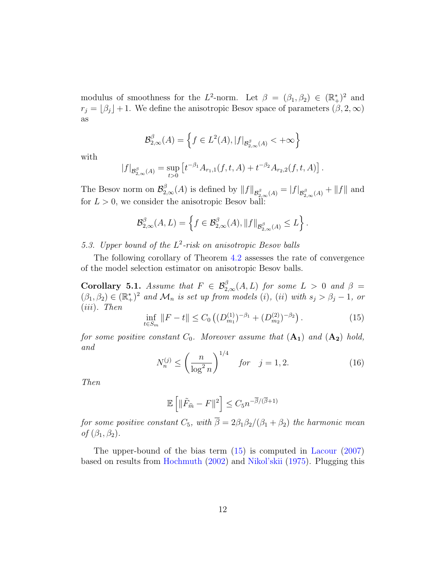modulus of smoothness for the L<sup>2</sup>-norm. Let  $\beta = (\beta_1, \beta_2) \in (\mathbb{R}^*_+)^2$  and  $r_j = \lfloor \beta_j \rfloor + 1$ . We define the anisotropic Besov space of parameters  $(\beta, 2, \infty)$ as

$$
\mathcal{B}_{2,\infty}^{\beta}(A) = \left\{ f \in L^2(A), |f|_{\mathcal{B}_{2,\infty}^{\beta}(A)} < +\infty \right\}
$$

with

$$
|f|_{\mathcal{B}_{2,\infty}^{\beta}(A)} = \sup_{t>0} \left[ t^{-\beta_1} A_{r_1,1}(f,t,A) + t^{-\beta_2} A_{r_2,2}(f,t,A) \right].
$$

The Besov norm on  $\mathcal{B}^{\beta}_{2,\infty}(A)$  is defined by  $||f||_{\mathcal{B}^{\beta}_{2,\infty}(A)} = |f|_{\mathcal{B}^{\beta}_{2,\infty}(A)} + ||f||$  and for  $L > 0$ , we consider the anisotropic Besov ball:

$$
\mathcal{B}_{2,\infty}^{\beta}(A,L)=\left\{f\in\mathcal{B}_{2,\infty}^{\beta}(A),\|f\|_{\mathcal{B}_{2,\infty}^{\beta}(A)}\leq L\right\}.
$$

5.3. Upper bound of the  $L^2$ -risk on anisotropic Besov balls

The following corollary of Theorem [4.2](#page-10-1) assesses the rate of convergence of the model selection estimator on anisotropic Besov balls.

<span id="page-11-2"></span>**Corollary 5.1.** Assume that  $F \in \mathcal{B}_{2,\infty}^{\beta}(A,L)$  for some  $L > 0$  and  $\beta =$  $(\beta_1, \beta_2) \in (\mathbb{R}_+^*)^2$  and  $\mathcal{M}_n$  is set up from models (i), (ii) with  $s_j > \beta_j - 1$ , or (iii). Then

<span id="page-11-0"></span>
$$
\inf_{t \in S_m} \|F - t\| \le C_0 \left( (D_{m_1}^{(1)})^{-\beta_1} + (D_{m_2}^{(2)})^{-\beta_2} \right). \tag{15}
$$

for some positive constant  $C_0$ . Moreover assume that  $(A_1)$  and  $(A_2)$  hold, and

<span id="page-11-1"></span>
$$
N_n^{(j)} \le \left(\frac{n}{\log^2 n}\right)^{1/4} \quad \text{for} \quad j = 1, 2. \tag{16}
$$

Then

$$
\mathbb{E}\left[\|\tilde{F}_{\widehat{m}} - F\|^2\right] \le C_5 n^{-\overline{\beta}/(\overline{\beta}+1)}
$$

for some positive constant  $C_5$ , with  $\overline{\beta} = 2\beta_1\beta_2/(\beta_1 + \beta_2)$  the harmonic mean of  $(\beta_1, \beta_2)$ .

The upper-bound of the bias term [\(15\)](#page-11-0) is computed in [Lacour](#page-40-6) [\(2007\)](#page-40-6) based on results from [Hochmuth](#page-40-5) [\(2002\)](#page-40-5) and [Nikol'skii](#page-41-2) [\(1975\)](#page-41-2). Plugging this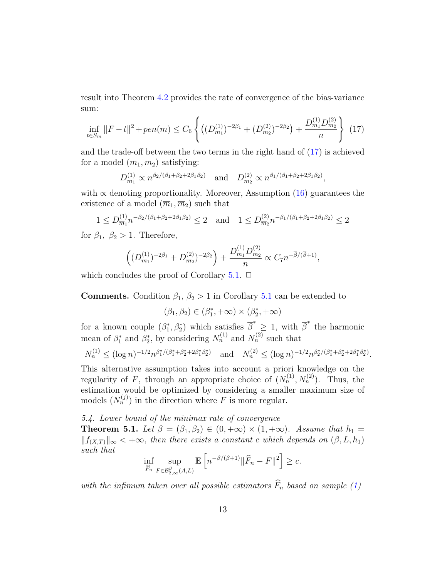result into Theorem [4.2](#page-10-1) provides the rate of convergence of the bias-variance sum:

<span id="page-12-0"></span>
$$
\inf_{t \in S_m} ||F - t||^2 + pen(m) \le C_6 \left\{ \left( (D_{m_1}^{(1)})^{-2\beta_1} + (D_{m_2}^{(2)})^{-2\beta_2} \right) + \frac{D_{m_1}^{(1)} D_{m_2}^{(2)}}{n} \right\} (17)
$$

and the trade-off between the two terms in the right hand of [\(17\)](#page-12-0) is achieved for a model  $(m_1, m_2)$  satisfying:

$$
D_{m_1}^{(1)} \propto n^{\beta_2/(\beta_1+\beta_2+2\beta_1\beta_2)}
$$
 and  $D_{m_2}^{(2)} \propto n^{\beta_1/(\beta_1+\beta_2+2\beta_1\beta_2)}$ ,

with  $\alpha$  denoting proportionality. Moreover, Assumption [\(16\)](#page-11-1) guarantees the existence of a model  $(\overline{m}_1, \overline{m}_2)$  such that

$$
1 \le D_{\overline{m}_1}^{(1)} n^{-\beta_2/(\beta_1 + \beta_2 + 2\beta_1\beta_2)} \le 2 \quad \text{and} \quad 1 \le D_{\overline{m}_2}^{(2)} n^{-\beta_1/(\beta_1 + \beta_2 + 2\beta_1\beta_2)} \le 2
$$

for  $\beta_1$ ,  $\beta_2 > 1$ . Therefore,

$$
\left( (D_{\overline{m}_1}^{(1)})^{-2\beta_1} + D_{\overline{m}_2}^{(2)})^{-2\beta_2} \right) + \frac{D_{\overline{m}_1}^{(1)} D_{\overline{m}_2}^{(2)}}{n} \propto C_7 n^{-\overline{\beta}/(\overline{\beta}+1)},
$$

which concludes the proof of Corollary  $5.1$ .  $\Box$ 

**Comments.** Condition  $\beta_1$ ,  $\beta_2 > 1$  in Corollary [5](#page-11-2).1 can be extended to

$$
(\beta_1,\beta_2)\in (\beta_1^*,+\infty)\times (\beta_2^*,+\infty)
$$

for a known couple  $(\beta_1^*, \beta_2^*)$  which satisfies  $\overline{\beta}^* \geq 1$ , with  $\overline{\beta}^*$  the harmonic mean of  $\beta_1^*$  and  $\beta_2^*$ , by considering  $N_n^{(1)}$  and  $N_n^{(2)}$  such that

$$
N_n^{(1)} \le (\log n)^{-1/2} n^{\beta_1^*/(\beta_1^* + \beta_2^* + 2\beta_1^*\beta_2^*)} \quad \text{and} \quad N_n^{(2)} \le (\log n)^{-1/2} n^{\beta_2^*/(\beta_1^* + \beta_2^* + 2\beta_1^*\beta_2^*)}.
$$

This alternative assumption takes into account a priori knowledge on the regularity of F, through an appropriate choice of  $(N_n^{(1)}, N_n^{(2)})$ . Thus, the estimation would be optimized by considering a smaller maximum size of models  $(N_n^{(j)})$  in the direction where F is more regular.

## 5.4. Lower bound of the minimax rate of convergence

<span id="page-12-1"></span>**Theorem 5.1.** Let  $\beta = (\beta_1, \beta_2) \in (0, +\infty) \times (1, +\infty)$ . Assume that  $h_1 =$  $||f_{(X,T)}||_{\infty} < +\infty$ , then there exists a constant c which depends on  $(\beta, L, h_1)$ such that

$$
\inf_{\widehat{F}_n} \sup_{F \in \mathcal{B}_{2,\infty}^{\beta}(A,L)} \mathbb{E}\left[n^{-\overline{\beta}/(\overline{\beta}+1)} \|\widehat{F}_n - F\|^2\right] \geq c.
$$

with the infimum taken over all possible estimators  $\widehat{F}_n$  based on sample [\(1\)](#page-1-0)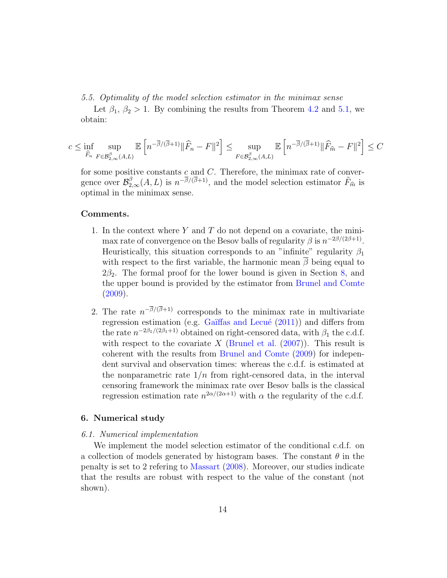5.5. Optimality of the model selection estimator in the minimax sense

Let  $\beta_1, \beta_2 > 1$ . By combining the results from Theorem [4.2](#page-10-1) and [5.1,](#page-12-1) we obtain:

$$
c\leq \inf_{\widehat{F}_n}\sup_{F\in {\cal B}^{\beta}_{2,\infty}(A,L)}\mathbb{E}\left[n^{-\overline{\beta}/(\overline{\beta}+1)}\|\widehat{F}_n-F\|^2\right]\leq \sup_{F\in {\cal B}^{\beta}_{2,\infty}(A,L)}\mathbb{E}\left[n^{-\overline{\beta}/(\overline{\beta}+1)}\|\widehat{F}_{\widehat{m}}-F\|^2\right]\leq C
$$

for some positive constants  $c$  and  $C$ . Therefore, the minimax rate of convergence over  $\mathcal{B}_{2,\infty}^{\beta}(A,L)$  is  $n^{-\overline{\beta}/(\overline{\beta}+1)}$ , and the model selection estimator  $\tilde{F}_{\hat{m}}$  is optimal in the minimax sense.

#### Comments.

- 1. In the context where  $Y$  and  $T$  do not depend on a covariate, the minimax rate of convergence on the Besov balls of regularity  $\beta$  is  $n^{-2\beta/(2\beta+1)}$ . Heuristically, this situation corresponds to an "infinite" regularity  $\beta_1$ with respect to the first variable, the harmonic mean  $\overline{\beta}$  being equal to  $2\beta_2$ . The formal proof for the lower bound is given in Section [8,](#page-27-0) and the upper bound is provided by the estimator from [Brunel and Comte](#page-39-2)  $(2009).$  $(2009).$
- 2. The rate  $n^{-\beta/(\beta+1)}$  corresponds to the minimax rate in multivariate regression estimation (e.g. Gaïffas and Lecué  $(2011)$ ) and differs from the rate  $n^{-2\beta_1/(2\beta_1+1)}$  obtained on right-censored data, with  $\beta_1$  the c.d.f. with respect to the covariate X [\(Brunel et al.](#page-39-4)  $(2007)$ ). This result is coherent with the results from [Brunel and Comte](#page-39-2) [\(2009\)](#page-39-2) for independent survival and observation times: whereas the c.d.f. is estimated at the nonparametric rate  $1/n$  from right-censored data, in the interval censoring framework the minimax rate over Besov balls is the classical regression estimation rate  $n^{2\alpha/(2\alpha+1)}$  with  $\alpha$  the regularity of the c.d.f.

#### <span id="page-13-0"></span>6. Numerical study

#### 6.1. Numerical implementation

We implement the model selection estimator of the conditional c.d.f. on a collection of models generated by histogram bases. The constant  $\theta$  in the penalty is set to 2 refering to [Massart](#page-40-4) [\(2008\)](#page-40-4). Moreover, our studies indicate that the results are robust with respect to the value of the constant (not shown).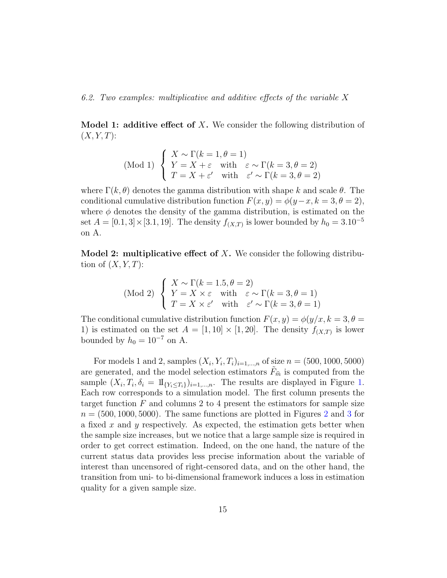6.2. Two examples: multiplicative and additive effects of the variable X

**Model 1: additive effect of X.** We consider the following distribution of  $(X, Y, T)$ :

(Mod 1) 
$$
\begin{cases} X \sim \Gamma(k=1, \theta=1) \\ Y = X + \varepsilon \quad \text{with} \quad \varepsilon \sim \Gamma(k=3, \theta=2) \\ T = X + \varepsilon' \quad \text{with} \quad \varepsilon' \sim \Gamma(k=3, \theta=2) \end{cases}
$$

where  $\Gamma(k, \theta)$  denotes the gamma distribution with shape k and scale  $\theta$ . The conditional cumulative distribution function  $F(x, y) = \phi(y-x, k=3, \theta=2)$ , where  $\phi$  denotes the density of the gamma distribution, is estimated on the set  $A = [0.1, 3] \times [3.1, 19]$ . The density  $f_{(X,T)}$  is lower bounded by  $h_0 = 3.10^{-5}$ on A.

**Model 2: multiplicative effect of X.** We consider the following distribution of  $(X, Y, T)$ :

(Mod 2) 
$$
\begin{cases} X \sim \Gamma(k = 1.5, \theta = 2) \\ Y = X \times \varepsilon \text{ with } \varepsilon \sim \Gamma(k = 3, \theta = 1) \\ T = X \times \varepsilon' \text{ with } \varepsilon' \sim \Gamma(k = 3, \theta = 1) \end{cases}
$$

The conditional cumulative distribution function  $F(x, y) = \phi(y/x, k = 3, \theta =$ 1) is estimated on the set  $A = [1, 10] \times [1, 20]$ . The density  $f_{(X,T)}$  is lower bounded by  $h_0 = 10^{-7}$  on A.

For models 1 and 2, samples  $(X_i, Y_i, T_i)_{i=1,\dots,n}$  of size  $n = (500, 1000, 5000)$ are generated, and the model selection estimators  $\tilde{F}_{\hat{m}}$  is computed from the sample  $(X_i, T_i, \delta_i = 1\mathbb{I}_{\{Y_i \leq T_i\}})_{i=1,\dots,n}$ . The results are displayed in Figure [1.](#page-15-0) Each row corresponds to a simulation model. The first column presents the target function  $F$  and columns 2 to 4 present the estimators for sample size  $n = (500, 1000, 5000)$ . The same functions are plotted in Figures [2](#page-16-0) and [3](#page-17-0) for a fixed x and y respectively. As expected, the estimation gets better when the sample size increases, but we notice that a large sample size is required in order to get correct estimation. Indeed, on the one hand, the nature of the current status data provides less precise information about the variable of interest than uncensored of right-censored data, and on the other hand, the transition from uni- to bi-dimensional framework induces a loss in estimation quality for a given sample size.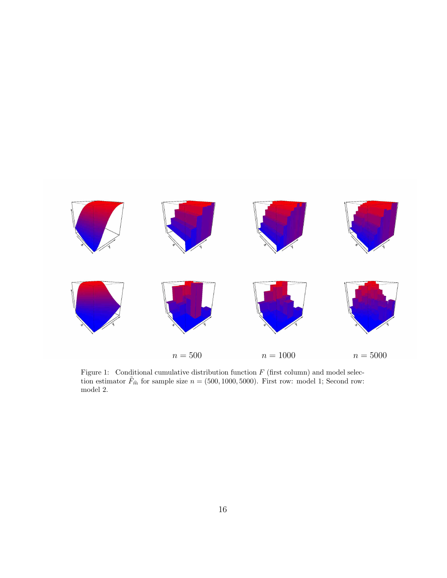

<span id="page-15-0"></span>Figure 1: Conditional cumulative distribution function  $F$  (first column) and model selection estimator  $\tilde{F}_{\hat{m}}$  for sample size  $n = (500, 1000, 5000)$ . First row: model 1; Second row: model 2.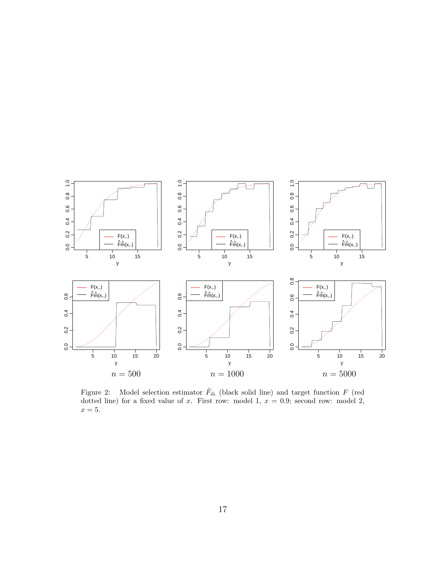

<span id="page-16-0"></span>Figure 2: Model selection estimator  $\tilde{F}_{\hat{m}}$  (black solid line) and target function F (red dotted line) for a fixed value of x. First row: model 1,  $x = 0.9$ ; second row: model 2,  $x=5.$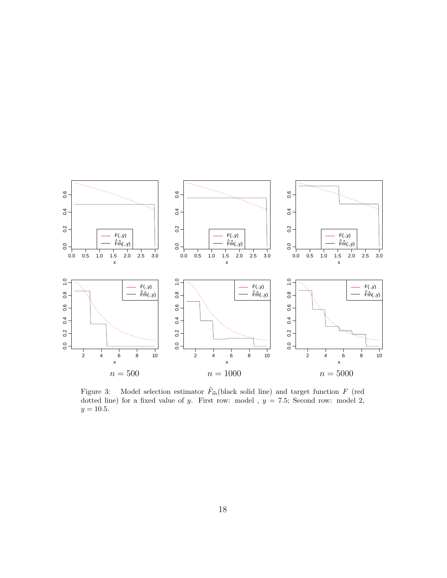

<span id="page-17-0"></span>Figure 3: Model selection estimator  $\tilde{F}_{\hat{m}}$  (black solid line) and target function F (red dotted line) for a fixed value of y. First row: model ,  $y = 7.5$ ; Second row: model 2,  $y = 10.5$ .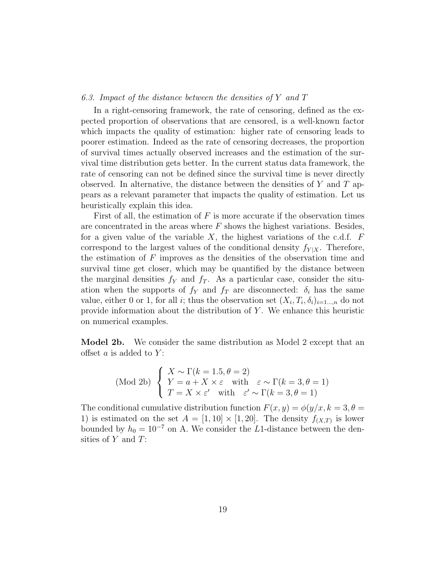## 6.3. Impact of the distance between the densities of Y and T

In a right-censoring framework, the rate of censoring, defined as the expected proportion of observations that are censored, is a well-known factor which impacts the quality of estimation: higher rate of censoring leads to poorer estimation. Indeed as the rate of censoring decreases, the proportion of survival times actually observed increases and the estimation of the survival time distribution gets better. In the current status data framework, the rate of censoring can not be defined since the survival time is never directly observed. In alternative, the distance between the densities of  $Y$  and  $T$  appears as a relevant parameter that impacts the quality of estimation. Let us heuristically explain this idea.

First of all, the estimation of  $F$  is more accurate if the observation times are concentrated in the areas where  $F$  shows the highest variations. Besides, for a given value of the variable  $X$ , the highest variations of the c.d.f.  $F$ correspond to the largest values of the conditional density  $f_{Y|X}$ . Therefore, the estimation of  $F$  improves as the densities of the observation time and survival time get closer, which may be quantified by the distance between the marginal densities  $f_Y$  and  $f_T$ . As a particular case, consider the situation when the supports of  $f_Y$  and  $f_T$  are disconnected:  $\delta_i$  has the same value, either 0 or 1, for all *i*; thus the observation set  $(X_i, T_i, \delta_i)_{i=1...,n}$  do not provide information about the distribution of  $Y$ . We enhance this heuristic on numerical examples.

Model 2b. We consider the same distribution as Model 2 except that an offset  $a$  is added to  $Y$ :

(Mod 2b) 
$$
\begin{cases} X \sim \Gamma(k = 1.5, \theta = 2) \\ Y = a + X \times \varepsilon \text{ with } \varepsilon \sim \Gamma(k = 3, \theta = 1) \\ T = X \times \varepsilon' \text{ with } \varepsilon' \sim \Gamma(k = 3, \theta = 1) \end{cases}
$$

The conditional cumulative distribution function  $F(x, y) = \phi(y/x, k = 3, \theta =$ 1) is estimated on the set  $A = [1, 10] \times [1, 20]$ . The density  $f_{(X,T)}$  is lower bounded by  $h_0 = 10^{-7}$  on A. We consider the L1-distance between the densities of  $Y$  and  $T$ :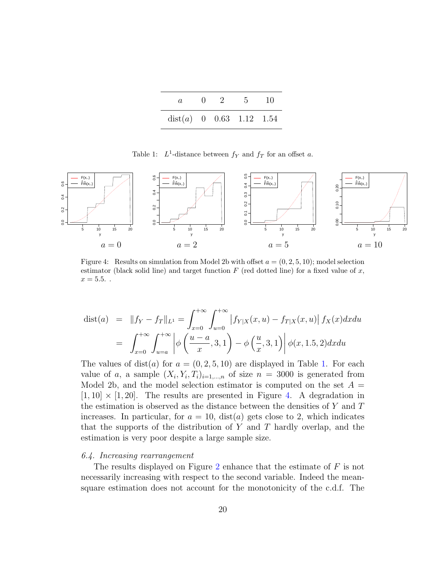| a.                         | $\mathbf{0}$ | - 2 | $5 -$ | -10 |
|----------------------------|--------------|-----|-------|-----|
| $dist(a)$ 0 0.63 1.12 1.54 |              |     |       |     |

<span id="page-19-0"></span>Table 1:  $L^1$ -distance between  $f_Y$  and  $f_T$  for an offset a.



<span id="page-19-1"></span>Figure 4: Results on simulation from Model 2b with offset  $a = (0, 2, 5, 10)$ ; model selection estimator (black solid line) and target function  $F$  (red dotted line) for a fixed value of  $x$ ,  $x = 5.5.$ .

$$
dist(a) = ||f_Y - f_T||_{L^1} = \int_{x=0}^{+\infty} \int_{u=0}^{+\infty} |f_{Y|X}(x, u) - f_{T|X}(x, u)| f_X(x) dx du
$$
  

$$
= \int_{x=0}^{+\infty} \int_{u=a}^{+\infty} \left| \phi \left( \frac{u-a}{x}, 3, 1 \right) - \phi \left( \frac{u}{x}, 3, 1 \right) \right| \phi(x, 1.5, 2) dx du
$$

The values of dist(*a*) for  $a = (0, 2, 5, 10)$  are displayed in Table [1.](#page-19-0) For each value of a, a sample  $(X_i, Y_i, T_i)_{i=1,\dots,n}$  of size  $n = 3000$  is generated from Model 2b, and the model selection estimator is computed on the set  $A =$  $[1, 10] \times [1, 20]$ . The results are presented in Figure [4.](#page-19-1) A degradation in the estimation is observed as the distance between the densities of Y and T increases. In particular, for  $a = 10$ , dist(a) gets close to 2, which indicates that the supports of the distribution of  $Y$  and  $T$  hardly overlap, and the estimation is very poor despite a large sample size.

#### 6.4. Increasing rearrangement

The results displayed on Figure [2](#page-16-0) enhance that the estimate of  $F$  is not necessarily increasing with respect to the second variable. Indeed the meansquare estimation does not account for the monotonicity of the c.d.f. The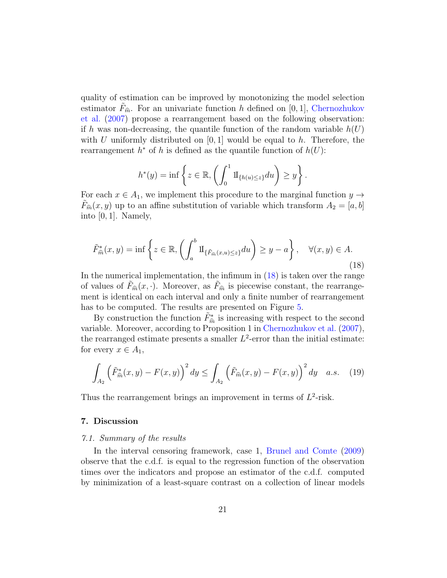quality of estimation can be improved by monotonizing the model selection estimator  $F_{\hat{m}}$ . For an univariate function h defined on [0, 1], [Chernozhukov](#page-39-5) [et al.](#page-39-5) [\(2007\)](#page-39-5) propose a rearrangement based on the following observation: if h was non-decreasing, the quantile function of the random variable  $h(U)$ with U uniformly distributed on  $[0, 1]$  would be equal to h. Therefore, the rearrangement  $h^*$  of h is defined as the quantile function of  $h(U)$ :

$$
h^*(y) = \inf \left\{ z \in \mathbb{R}, \left( \int_0^1 \mathrm{1I}_{\{h(u) \le z\}} du \right) \ge y \right\}.
$$

For each  $x \in A_1$ , we implement this procedure to the marginal function  $y \to$  $F_{\hat{m}}(x, y)$  up to an affine substitution of variable which transform  $A_2 = [a, b]$ into  $[0, 1]$ . Namely,

<span id="page-20-1"></span>
$$
\tilde{F}_{\hat{m}}^*(x,y) = \inf \left\{ z \in \mathbb{R}, \left( \int_a^b \mathrm{II}_{\{\tilde{F}_{\hat{m}}(x,u) \le z\}} du \right) \ge y - a \right\}, \quad \forall (x,y) \in A. \tag{18}
$$

In the numerical implementation, the infimum in [\(18\)](#page-20-1) is taken over the range of values of  $F_{\hat{m}}(x, \cdot)$ . Moreover, as  $F_{\hat{m}}$  is piecewise constant, the rearrangement is identical on each interval and only a finite number of rearrangement has to be computed. The results are presented on Figure [5.](#page-21-0)

By construction the function  $\tilde{F}^*_{\hat{n}}$  $\hat{m}$  is increasing with respect to the second<br>reposition 1 in Characteristics of al. (2007) variable. Moreover, according to Proposition 1 in [Chernozhukov et al.](#page-39-5) [\(2007\)](#page-39-5), the rearranged estimate presents a smaller  $L^2$ -error than the initial estimate: for every  $x \in A_1$ ,

$$
\int_{A_2} \left(\tilde{F}_{\hat{m}}^*(x,y) - F(x,y)\right)^2 dy \le \int_{A_2} \left(\tilde{F}_{\hat{m}}(x,y) - F(x,y)\right)^2 dy \quad a.s. \quad (19)
$$

Thus the rearrangement brings an improvement in terms of  $L^2$ -risk.

#### <span id="page-20-0"></span>7. Discussion

#### 7.1. Summary of the results

In the interval censoring framework, case 1, [Brunel and Comte](#page-39-2) [\(2009\)](#page-39-2) observe that the c.d.f. is equal to the regression function of the observation times over the indicators and propose an estimator of the c.d.f. computed by minimization of a least-square contrast on a collection of linear models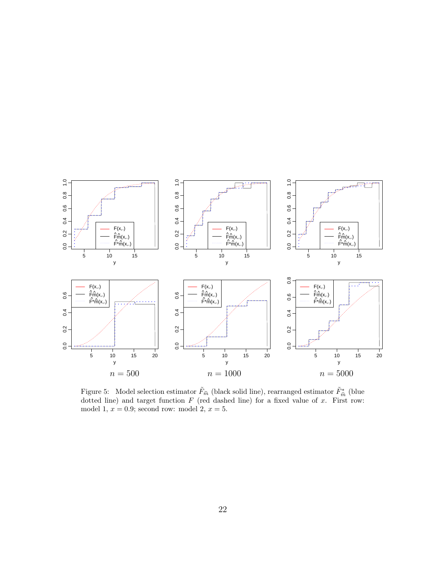

<span id="page-21-0"></span>Figure 5: Model selection estimator  $\tilde{F}_{\hat{m}}$  (black solid line), rearranged estimator  $\tilde{F}_{\hat{m}}^*$  (blue<br>detted line) and target function  $F_{\hat{m}}$  (red deebed line) for a fixed value of  $x$ . First rews dotted line) and target function  $F$  (red dashed line) for a fixed value of  $x$ . First row: model 1,  $x = 0.9$ ; second row: model 2,  $x = 5$ .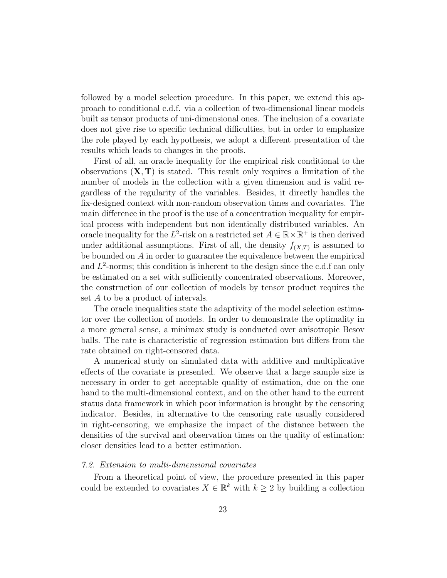followed by a model selection procedure. In this paper, we extend this approach to conditional c.d.f. via a collection of two-dimensional linear models built as tensor products of uni-dimensional ones. The inclusion of a covariate does not give rise to specific technical difficulties, but in order to emphasize the role played by each hypothesis, we adopt a different presentation of the results which leads to changes in the proofs.

First of all, an oracle inequality for the empirical risk conditional to the observations  $(X, T)$  is stated. This result only requires a limitation of the number of models in the collection with a given dimension and is valid regardless of the regularity of the variables. Besides, it directly handles the fix-designed context with non-random observation times and covariates. The main difference in the proof is the use of a concentration inequality for empirical process with independent but non identically distributed variables. An oracle inequality for the  $L^2$ -risk on a restricted set  $A \in \mathbb{R} \times \mathbb{R}^+$  is then derived under additional assumptions. First of all, the density  $f_{(X,T)}$  is assumed to be bounded on A in order to guarantee the equivalence between the empirical and  $L^2$ -norms; this condition is inherent to the design since the c.d.f can only be estimated on a set with sufficiently concentrated observations. Moreover, the construction of our collection of models by tensor product requires the set A to be a product of intervals.

The oracle inequalities state the adaptivity of the model selection estimator over the collection of models. In order to demonstrate the optimality in a more general sense, a minimax study is conducted over anisotropic Besov balls. The rate is characteristic of regression estimation but differs from the rate obtained on right-censored data.

A numerical study on simulated data with additive and multiplicative effects of the covariate is presented. We observe that a large sample size is necessary in order to get acceptable quality of estimation, due on the one hand to the multi-dimensional context, and on the other hand to the current status data framework in which poor information is brought by the censoring indicator. Besides, in alternative to the censoring rate usually considered in right-censoring, we emphasize the impact of the distance between the densities of the survival and observation times on the quality of estimation: closer densities lead to a better estimation.

#### 7.2. Extension to multi-dimensional covariates

From a theoretical point of view, the procedure presented in this paper could be extended to covariates  $X \in \mathbb{R}^k$  with  $k \geq 2$  by building a collection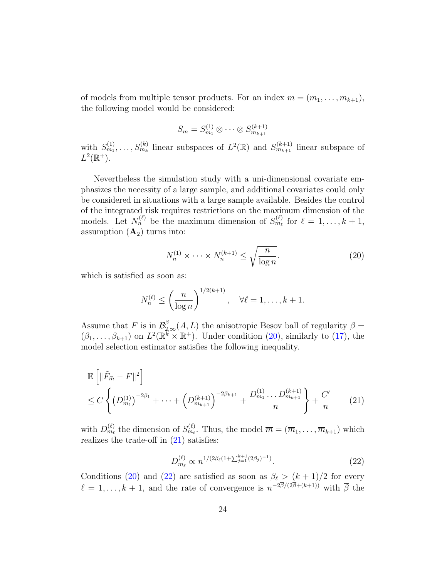of models from multiple tensor products. For an index  $m = (m_1, \ldots, m_{k+1}),$ the following model would be considered:

$$
S_m = S_{m_1}^{(1)} \otimes \cdots \otimes S_{m_{k+1}}^{(k+1)}
$$

with  $S_{m_1}^{(1)}, \ldots, S_{m_k}^{(k)}$  linear subspaces of  $L^2(\mathbb{R})$  and  $S_{m_{k+1}}^{(k+1)}$  linear subspace of  $L^2(\mathbb{R}^+).$ 

Nevertheless the simulation study with a uni-dimensional covariate emphasizes the necessity of a large sample, and additional covariates could only be considered in situations with a large sample available. Besides the control of the integrated risk requires restrictions on the maximum dimension of the models. Let  $N_n^{(\ell)}$  be the maximum dimension of  $S_{m_\ell}^{(\ell)}$  for  $\ell = 1, \ldots, k + 1$ , assumption  $(A_2)$  turns into:

<span id="page-23-0"></span>
$$
N_n^{(1)} \times \dots \times N_n^{(k+1)} \le \sqrt{\frac{n}{\log n}}.\tag{20}
$$

which is satisfied as soon as:

$$
N_n^{(\ell)} \le \left(\frac{n}{\log n}\right)^{1/2(k+1)}, \quad \forall \ell = 1, \dots, k+1.
$$

Assume that F is in  $\mathcal{B}_{2,\infty}^{\beta}(\mathcal{A}, L)$  the anisotropic Besov ball of regularity  $\beta =$  $(\beta_1,\ldots,\beta_{k+1})$  on  $L^2(\mathbb{R}^k\times\mathbb{R}^+)$ . Under condition [\(20\)](#page-23-0), similarly to [\(17\)](#page-12-0), the model selection estimator satisfies the following inequality.

<span id="page-23-1"></span>
$$
\mathbb{E}\left[\|\tilde{F}_{\hat{m}} - F\|^2\right] \leq C \left\{ \left(D_{m_1}^{(1)}\right)^{-2\beta_1} + \dots + \left(D_{m_{k+1}}^{(k+1)}\right)^{-2\beta_{k+1}} + \frac{D_{m_1}^{(1)}\dots D_{m_{k+1}}^{(k+1)}}{n} \right\} + \frac{C'}{n} \tag{21}
$$

with  $D_{m_\ell}^{(\ell)}$  the dimension of  $S_{m_\ell}^{(\ell)}$ . Thus, the model  $\overline{m} = (\overline{m}_1, \ldots, \overline{m}_{k+1})$  which realizes the trade-off in [\(21\)](#page-23-1) satisfies:

<span id="page-23-2"></span>
$$
D_{\overline{m}_{\ell}}^{(\ell)} \propto n^{1/(2\beta_{\ell}(1+\sum_{j=1}^{k+1}(2\beta_j)^{-1})}.
$$
 (22)

Conditions [\(20\)](#page-23-0) and [\(22\)](#page-23-2) are satisfied as soon as  $\beta_{\ell} > (k + 1)/2$  for every  $\ell = 1, \ldots, k + 1$ , and the rate of convergence is  $n^{-2\beta/(2\beta + (k+1))}$  with  $\overline{\beta}$  the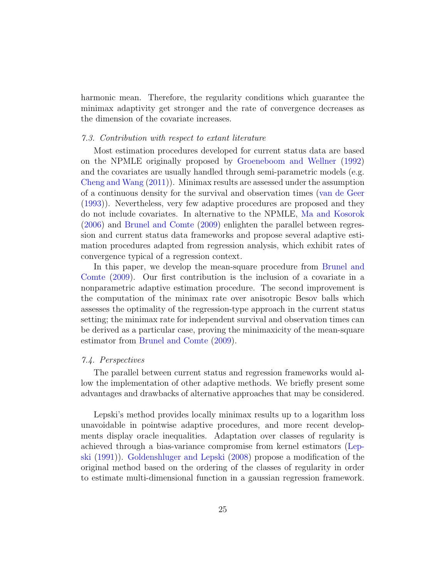harmonic mean. Therefore, the regularity conditions which guarantee the minimax adaptivity get stronger and the rate of convergence decreases as the dimension of the covariate increases.

#### 7.3. Contribution with respect to extant literature

Most estimation procedures developed for current status data are based on the NPMLE originally proposed by [Groeneboom and Wellner](#page-40-0) [\(1992\)](#page-40-0) and the covariates are usually handled through semi-parametric models (e.g. [Cheng and Wang](#page-39-0) [\(2011\)](#page-39-0)). Minimax results are assessed under the assumption of a continuous density for the survival and observation times [\(van de Geer](#page-41-1) [\(1993\)](#page-41-1)). Nevertheless, very few adaptive procedures are proposed and they do not include covariates. In alternative to the NPMLE, [Ma and Kosorok](#page-40-2) [\(2006\)](#page-40-2) and [Brunel and Comte](#page-39-2) [\(2009\)](#page-39-2) enlighten the parallel between regression and current status data frameworks and propose several adaptive estimation procedures adapted from regression analysis, which exhibit rates of convergence typical of a regression context.

In this paper, we develop the mean-square procedure from [Brunel and](#page-39-2) [Comte](#page-39-2) [\(2009\)](#page-39-2). Our first contribution is the inclusion of a covariate in a nonparametric adaptive estimation procedure. The second improvement is the computation of the minimax rate over anisotropic Besov balls which assesses the optimality of the regression-type approach in the current status setting; the minimax rate for independent survival and observation times can be derived as a particular case, proving the minimaxicity of the mean-square estimator from [Brunel and Comte](#page-39-2) [\(2009\)](#page-39-2).

#### 7.4. Perspectives

The parallel between current status and regression frameworks would allow the implementation of other adaptive methods. We briefly present some advantages and drawbacks of alternative approaches that may be considered.

Lepski's method provides locally minimax results up to a logarithm loss unavoidable in pointwise adaptive procedures, and more recent developments display oracle inequalities. Adaptation over classes of regularity is achieved through a bias-variance compromise from kernel estimators [\(Lep](#page-40-8)[ski](#page-40-8) [\(1991\)](#page-40-8)). [Goldenshluger and Lepski](#page-40-9) [\(2008\)](#page-40-9) propose a modification of the original method based on the ordering of the classes of regularity in order to estimate multi-dimensional function in a gaussian regression framework.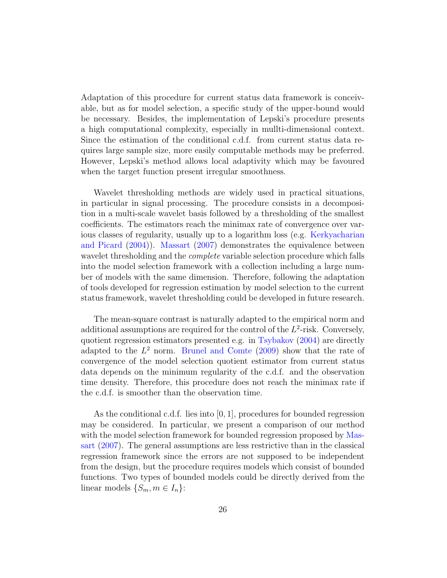Adaptation of this procedure for current status data framework is conceivable, but as for model selection, a specific study of the upper-bound would be necessary. Besides, the implementation of Lepski's procedure presents a high computational complexity, especially in mullti-dimensional context. Since the estimation of the conditional c.d.f. from current status data requires large sample size, more easily computable methods may be preferred. However, Lepski's method allows local adaptivity which may be favoured when the target function present irregular smoothness.

Wavelet thresholding methods are widely used in practical situations, in particular in signal processing. The procedure consists in a decomposition in a multi-scale wavelet basis followed by a thresholding of the smallest coefficients. The estimators reach the minimax rate of convergence over various classes of regularity, usually up to a logarithm loss (e.g. [Kerkyacharian](#page-40-10) [and Picard](#page-40-10) [\(2004\)](#page-40-10)). [Massart](#page-40-3) [\(2007\)](#page-40-3) demonstrates the equivalence between wavelet thresholding and the *complete* variable selection procedure which falls into the model selection framework with a collection including a large number of models with the same dimension. Therefore, following the adaptation of tools developed for regression estimation by model selection to the current status framework, wavelet thresholding could be developed in future research.

The mean-square contrast is naturally adapted to the empirical norm and additional assumptions are required for the control of the  $L^2$ -risk. Conversely, quotient regression estimators presented e.g. in [Tsybakov](#page-41-3) [\(2004\)](#page-41-3) are directly adapted to the  $L^2$  norm. [Brunel and Comte](#page-39-2) [\(2009\)](#page-39-2) show that the rate of convergence of the model selection quotient estimator from current status data depends on the minimum regularity of the c.d.f. and the observation time density. Therefore, this procedure does not reach the minimax rate if the c.d.f. is smoother than the observation time.

As the conditional c.d.f. lies into  $[0, 1]$ , procedures for bounded regression may be considered. In particular, we present a comparison of our method with the model selection framework for bounded regression proposed by [Mas](#page-40-3)[sart](#page-40-3) [\(2007\)](#page-40-3). The general assumptions are less restrictive than in the classical regression framework since the errors are not supposed to be independent from the design, but the procedure requires models which consist of bounded functions. Two types of bounded models could be directly derived from the linear models  $\{S_m, m \in I_n\}$ :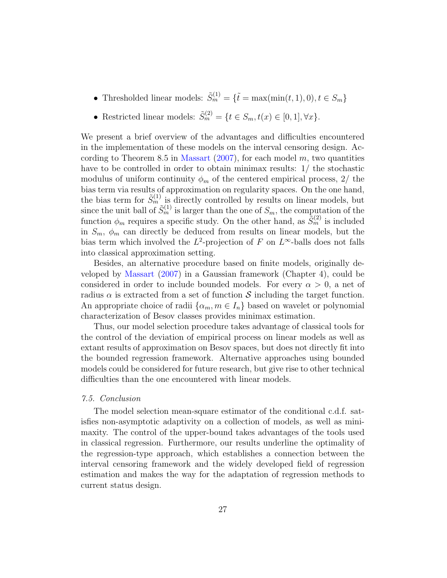- Thresholded linear models:  $\tilde{S}_m^{(1)} = {\tilde{t}} = \max(\min(t, 1), 0), t \in S_m$
- Restricted linear models:  $\tilde{S}_m^{(2)} = \{t \in S_m, t(x) \in [0, 1], \forall x\}.$

We present a brief overview of the advantages and difficulties encountered in the implementation of these models on the interval censoring design. Ac-cording to Theorem 8.5 in [Massart](#page-40-3)  $(2007)$ , for each model m, two quantities have to be controlled in order to obtain minimax results: 1/ the stochastic modulus of uniform continuity  $\phi_m$  of the centered empirical process, 2/ the bias term via results of approximation on regularity spaces. On the one hand, the bias term for  $\tilde{S}_m^{(1)}$  is directly controlled by results on linear models, but since the unit ball of  $\tilde{S}_m^{(1)}$  is larger than the one of  $S_m$ , the computation of the function  $\phi_m$  requires a specific study. On the other hand, as  $\tilde{S}_m^{(2)}$  is included in  $S_m$ ,  $\phi_m$  can directly be deduced from results on linear models, but the bias term which involved the  $L^2$ -projection of F on  $L^{\infty}$ -balls does not falls into classical approximation setting.

Besides, an alternative procedure based on finite models, originally developed by [Massart](#page-40-3) [\(2007\)](#page-40-3) in a Gaussian framework (Chapter 4), could be considered in order to include bounded models. For every  $\alpha > 0$ , a net of radius  $\alpha$  is extracted from a set of function S including the target function. An appropriate choice of radii  $\{\alpha_m, m \in I_n\}$  based on wavelet or polynomial characterization of Besov classes provides minimax estimation.

Thus, our model selection procedure takes advantage of classical tools for the control of the deviation of empirical process on linear models as well as extant results of approximation on Besov spaces, but does not directly fit into the bounded regression framework. Alternative approaches using bounded models could be considered for future research, but give rise to other technical difficulties than the one encountered with linear models.

## 7.5. Conclusion

The model selection mean-square estimator of the conditional c.d.f. satisfies non-asymptotic adaptivity on a collection of models, as well as minimaxity. The control of the upper-bound takes advantages of the tools used in classical regression. Furthermore, our results underline the optimality of the regression-type approach, which establishes a connection between the interval censoring framework and the widely developed field of regression estimation and makes the way for the adaptation of regression methods to current status design.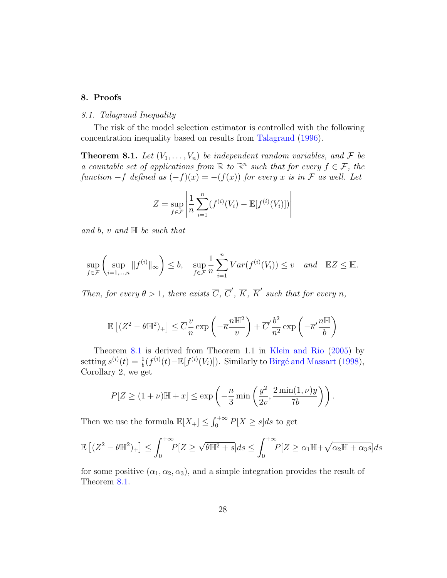## <span id="page-27-0"></span>8. Proofs

#### 8.1. Talagrand Inequality

The risk of the model selection estimator is controlled with the following concentration inequality based on results from [Talagrand](#page-41-4) [\(1996\)](#page-41-4).

<span id="page-27-1"></span>**Theorem 8.1.** Let  $(V_1, \ldots, V_n)$  be independent random variables, and F be a countable set of applications from  $\mathbb R$  to  $\mathbb R^n$  such that for every  $f \in \mathcal{F}$ , the function  $-f$  defined as  $(-f)(x) = -(f(x))$  for every x is in F as well. Let

$$
Z = \sup_{f \in \mathcal{F}} \left| \frac{1}{n} \sum_{i=1}^{n} (f^{(i)}(V_i) - \mathbb{E}[f^{(i)}(V_i)]) \right|
$$

and b, v and  $\mathbb{H}$  be such that

$$
\sup_{f \in \mathcal{F}} \left( \sup_{i=1,\dots,n} \|f^{(i)}\|_{\infty} \right) \le b, \quad \sup_{f \in \mathcal{F}} \frac{1}{n} \sum_{i=1}^{n} Var(f^{(i)}(V_i)) \le v \quad and \quad \mathbb{E}Z \le \mathbb{H}.
$$

Then, for every  $\theta > 1$ , there exists  $\overline{C}$ ,  $\overline{C}'$ ,  $\overline{K}$ ,  $\overline{K}'$  such that for every n,

$$
\mathbb{E}\left[ (Z^2 - \theta \mathbb{H}^2)_+ \right] \leq \overline{C} \frac{v}{n} \exp\left( -\overline{\kappa} \frac{n \mathbb{H}^2}{v} \right) + \overline{C}' \frac{b^2}{n^2} \exp\left( -\overline{\kappa}' \frac{n \mathbb{H}}{b} \right)
$$

Theorem [8](#page-27-1).1 is derived from Theorem 1.1 in [Klein and Rio](#page-40-11) [\(2005\)](#page-40-11) by setting  $s^{(i)}(t) = \frac{1}{b}(f^{(i)}(t) - \mathbb{E}[f^{(i)}(V_i)])$ . Similarly to Birgé and Massart [\(1998\)](#page-39-3), Corollary 2, we get

$$
P[Z \ge (1+\nu)\mathbb{H} + x] \le \exp\left(-\frac{n}{3}\min\left(\frac{y^2}{2v}, \frac{2\min(1,\nu)y}{7b}\right)\right).
$$

Then we use the formula  $\mathbb{E}[X_+] \leq \int_0^{+\infty} P[X \geq s]ds$  to get

$$
\mathbb{E}\left[ (Z^2 - \theta \mathbb{H}^2)_+ \right] \le \int_0^{+\infty} P[Z \ge \sqrt{\theta \mathbb{H}^2 + s}] ds \le \int_0^{+\infty} P[Z \ge \alpha_1 \mathbb{H} + \sqrt{\alpha_2 \mathbb{H} + \alpha_3 s}] ds
$$

for some positive  $(\alpha_1, \alpha_2, \alpha_3)$ , and a simple integration provides the result of Theorem [8.1.](#page-27-1)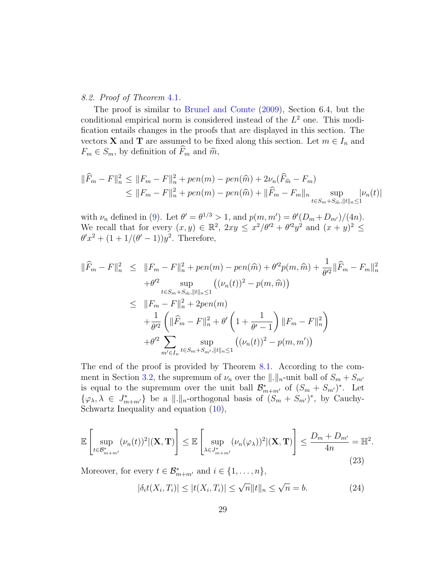## 8.2. Proof of Theorem [4](#page-8-1).1.

The proof is similar to [Brunel and Comte](#page-39-2) [\(2009\)](#page-39-2), Section 6.4, but the conditional empirical norm is considered instead of the  $L^2$  one. This modification entails changes in the proofs that are displayed in this section. The vectors **X** and **T** are assumed to be fixed along this section. Let  $m \in I_n$  and  $F_m \in S_m$ , by definition of  $\widehat{F}_m$  and  $\widehat{m}$ ,

$$
\|\widehat{F}_m - F\|_n^2 \le \|F_m - F\|_n^2 + pen(m) - pen(\widehat{m}) + 2\nu_n(\widehat{F}_{\widehat{m}} - F_m)
$$
  
\n
$$
\le \|F_m - F\|_n^2 + pen(m) - pen(\widehat{m}) + \|\widehat{F}_m - F_m\|_n \sup_{t \in S_m + S_{\widehat{m}}, \|t\|_n \le 1} |\nu_n(t)|
$$

with  $\nu_n$  defined in [\(9\)](#page-6-1). Let  $\theta' = \theta^{1/3} > 1$ , and  $p(m, m') = \theta'(D_m + D_{m'})/(4n)$ . We recall that for every  $(x, y) \in \mathbb{R}^2$ ,  $2xy \leq x^2/\theta'^2 + \theta'^2y^2$  and  $(x + y)^2 \leq$  $\theta' x^2 + (1 + 1/(\theta' - 1))y^2$ . Therefore,

$$
\|\widehat{F}_m - F\|_n^2 \le \|F_m - F\|_n^2 + pen(m) - pen(\widehat{m}) + \theta'^2 p(m, \widehat{m}) + \frac{1}{\theta'^2} \|\widehat{F}_m - F_m\|_n^2
$$
  
+  $\theta'^2 \sup_{t \in S_m + S_{\widehat{m}}, \|t\|_n \le 1} ((\nu_n(t))^2 - p(m, \widehat{m}))$   

$$
\le \|F_m - F\|_n^2 + 2pen(m)
$$
  
+  $\frac{1}{\theta'^2} (\|\widehat{F}_m - F\|_n^2 + \theta' (1 + \frac{1}{\theta' - 1}) \|F_m - F\|_n^2)$   
+  $\theta'^2 \sum_{m' \in I_n} \sup_{t \in S_m + S_{m'}, \|t\|_n \le 1} ((\nu_n(t))^2 - p(m, m'))$ 

The end of the proof is provided by Theorem [8.1.](#page-27-1) According to the com-ment in Section [3.2,](#page-5-3) the supremum of  $\nu_n$  over the  $\|\cdot\|_n$ -unit ball of  $S_m + S_{m'}$ is equal to the supremum over the unit ball  $\mathcal{B}_{m+m'}^*$  of  $(S_m + S_{m'})^*$ . Let  $\{\varphi_{\lambda}, \lambda \in J^*_{m+m'}\}\$ be a  $\|.\|_n$ -orthogonal basis of  $(S_m + S_{m'})^*$ , by Cauchy-Schwartz Inequality and equation [\(10\)](#page-6-2),

$$
\mathbb{E}\left[\sup_{t\in\mathcal{B}_{m+m'}^*}(\nu_n(t))^2|(\mathbf{X},\mathbf{T})\right] \leq \mathbb{E}\left[\sup_{\lambda\in J_{m+m'}^*}(\nu_n(\varphi_\lambda))^2|(\mathbf{X},\mathbf{T})\right] \leq \frac{D_m+D_{m'}}{4n} = \mathbb{H}^2.
$$
\n(23)

Moreover, for every  $t \in \mathcal{B}_{m+m'}^*$  and  $i \in \{1, \ldots, n\}$ ,

$$
|\delta_i t(X_i, T_i)| \le |t(X_i, T_i)| \le \sqrt{n} ||t||_n \le \sqrt{n} = b. \tag{24}
$$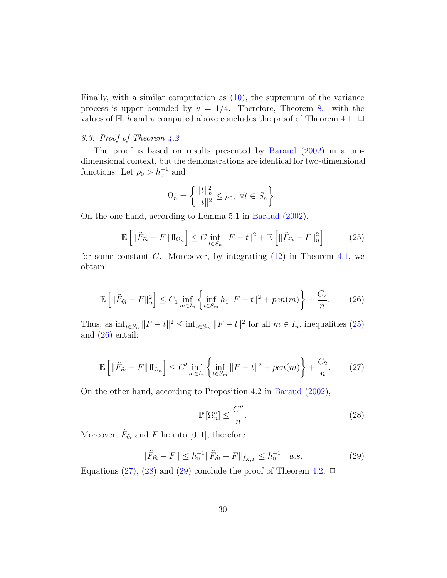Finally, with a similar computation as [\(10\)](#page-6-2), the supremum of the variance process is upper bounded by  $v = 1/4$ . Therefore, Theorem [8.1](#page-27-1) with the values of  $\mathbb{H}$ , b and v computed above concludes the proof of Theorem [4.1.](#page-8-1)  $\Box$ 

## 8.3. Proof of Theorem [4.2](#page-10-1)

The proof is based on results presented by [Baraud](#page-39-6) [\(2002\)](#page-39-6) in a unidimensional context, but the demonstrations are identical for two-dimensional functions. Let  $\rho_0 > h_0^{-1}$  and

$$
\Omega_n = \left\{ \frac{\|t\|_n^2}{\|t\|^2} \le \rho_0, \ \forall t \in S_n \right\}.
$$

On the one hand, according to Lemma 5.1 in [Baraud](#page-39-6) [\(2002\)](#page-39-6),

<span id="page-29-0"></span>
$$
\mathbb{E}\left[\|\tilde{F}_{\hat{m}} - F\|1\|_{\Omega_n}\right] \le C \inf_{t \in S_n} \|F - t\|^2 + \mathbb{E}\left[\|\tilde{F}_{\hat{m}} - F\|_n^2\right] \tag{25}
$$

for some constant C. Moreoever, by integrating  $(12)$  in Theorem [4.1,](#page-8-1) we obtain:

<span id="page-29-1"></span>
$$
\mathbb{E}\left[\|\tilde{F}_{\hat{m}} - F\|_{n}^{2}\right] \le C_{1} \inf_{m \in I_{n}} \left\{\inf_{t \in S_{m}} h_{1} \|F - t\|^{2} + pen(m)\right\} + \frac{C_{2}}{n}.
$$
 (26)

Thus, as  $\inf_{t \in S_n} ||F - t||^2 \leq \inf_{t \in S_m} ||F - t||^2$  for all  $m \in I_n$ , inequalities [\(25\)](#page-29-0) and [\(26\)](#page-29-1) entail:

<span id="page-29-2"></span>
$$
\mathbb{E}\left[\|\tilde{F}_{\hat{m}} - F\|1\|_{\Omega_n}\right] \le C' \inf_{m \in I_n} \left\{\inf_{t \in S_m} \|F - t\|^2 + pen(m)\right\} + \frac{C_2}{n}.\tag{27}
$$

On the other hand, according to Proposition 4.2 in [Baraud](#page-39-6) [\(2002\)](#page-39-6),

<span id="page-29-3"></span>
$$
\mathbb{P}\left[\Omega_n^c\right] \le \frac{C''}{n}.\tag{28}
$$

Moreover,  $\tilde{F}_{\hat{m}}$  and F lie into [0, 1], therefore

<span id="page-29-4"></span>
$$
\|\tilde{F}_{\hat{m}} - F\| \le h_0^{-1} \|\tilde{F}_{\hat{m}} - F\|_{f_{X,T}} \le h_0^{-1} \quad a.s.
$$
\n(29)

Equations [\(27\)](#page-29-2), [\(28\)](#page-29-3) and [\(29\)](#page-29-4) conclude the proof of Theorem [4.2.](#page-10-1)  $\Box$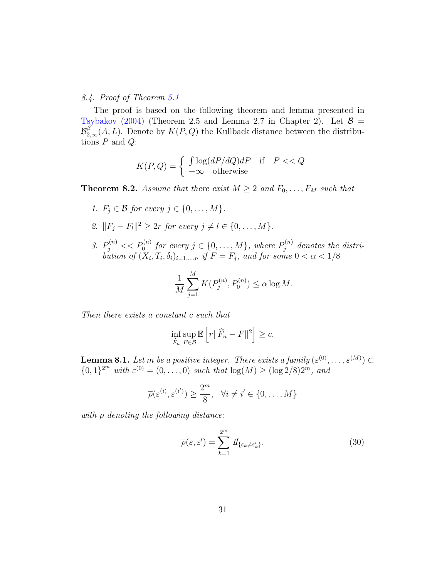## 8.4. Proof of Theorem [5.1](#page-12-1)

The proof is based on the following theorem and lemma presented in [Tsybakov](#page-41-3) [\(2004\)](#page-41-3) (Theorem 2.5 and Lemma 2.7 in Chapter 2). Let  $\mathcal{B} =$  $\mathcal{B}_{2,\infty}^{\beta}(\mathcal{A}, L)$ . Denote by  $K(P,Q)$  the Kullback distance between the distributions  $P$  and  $Q$ :

$$
K(P,Q) = \begin{cases} \int \log(dP/dQ)dP & \text{if } P << Q\\ +\infty & \text{otherwise} \end{cases}
$$

<span id="page-30-1"></span>**Theorem 8.2.** Assume that there exist  $M \geq 2$  and  $F_0, \ldots, F_M$  such that

- 1.  $F_i \in \mathcal{B}$  for every  $j \in \{0, \ldots, M\}.$
- 2.  $||F_j F_l||^2 \ge 2r$  for every  $j \neq l \in \{0, ..., M\}.$
- 3.  $P_j^{(n)} \ll P_0^{(n)}$  for every  $j \in \{0, ..., M\}$ , where  $P_j^{(n)}$  $j_j^{(n)}$  denotes the distribution of  $(X_i, T_i, \delta_i)_{i=1,\dots,n}$  if  $F = F_j$ , and for some  $0 < \alpha < 1/8$

$$
\frac{1}{M} \sum_{j=1}^{M} K(P_j^{(n)}, P_0^{(n)}) \le \alpha \log M.
$$

Then there exists a constant c such that

$$
\inf_{\widehat{F}_n} \sup_{F \in \mathcal{B}} \mathbb{E}\left[r\|\widehat{F}_n - F\|^2\right] \geq c.
$$

<span id="page-30-0"></span>**Lemma 8.1.** Let m be a positive integer. There exists a family  $(\varepsilon^{(0)}, \ldots, \varepsilon^{(M)}) \subset$  ${0,1}^{2^m}$  with  $\varepsilon^{(0)} = (0,\ldots,0)$  such that  $\log(M) \ge (\log 2/8)2^m$ , and

$$
\overline{\rho}(\varepsilon^{(i)}, \varepsilon^{(i')}) \ge \frac{2^m}{8}, \quad \forall i \ne i' \in \{0, \dots, M\}
$$

with  $\bar{\rho}$  denoting the following distance:

$$
\overline{\rho}(\varepsilon,\varepsilon') = \sum_{k=1}^{2^m} \mathcal{U}_{\{\varepsilon_k \neq \varepsilon'_k\}}.
$$
\n(30)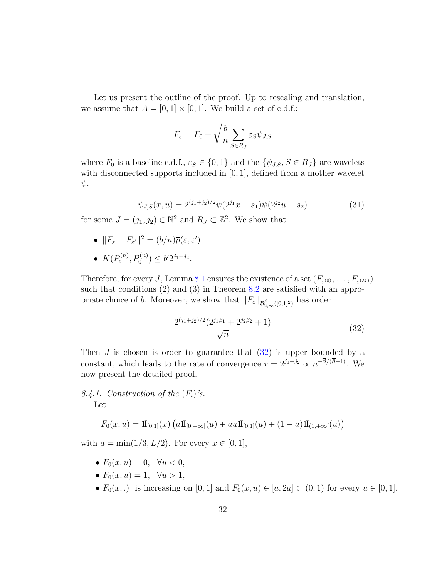Let us present the outline of the proof. Up to rescaling and translation, we assume that  $A = [0, 1] \times [0, 1]$ . We build a set of c.d.f.:

$$
F_{\varepsilon}=F_0+\sqrt{\frac{b}{n}}\sum_{S\in R_J}\varepsilon_S\psi_{J,S}
$$

where  $F_0$  is a baseline c.d.f.,  $\varepsilon_S \in \{0, 1\}$  and the  $\{\psi_{J,S}, S \in R_J\}$  are wavelets with disconnected supports included in [0, 1], defined from a mother wavelet  $\psi$ .

<span id="page-31-1"></span>
$$
\psi_{J,S}(x, u) = 2^{(j_1+j_2)/2} \psi(2^{j_1}x - s_1) \psi(2^{j_2}u - s_2)
$$
\n(31)

for some  $J = (j_1, j_2) \in \mathbb{N}^2$  and  $R_J \subset \mathbb{Z}^2$ . We show that

- $||F_{\varepsilon} F_{\varepsilon'}||^2 = (b/n)\overline{\rho}(\varepsilon, \varepsilon').$
- $K(P_{\varepsilon}^{(n)}, P_0^{(n)}) \leq b' 2^{j_1+j_2}.$

Therefore, for every J, Lemma [8.1](#page-30-0) ensures the existence of a set  $(F_{\varepsilon^{(0)}}, \ldots, F_{\varepsilon^{(M)}})$ such that conditions (2) and (3) in Theorem [8.2](#page-30-1) are satisfied with an appropriate choice of b. Moreover, we show that  $||F_{\varepsilon}||_{\mathcal{B}^{\beta}_{2,\infty}([0,1]^2)}$  has order

<span id="page-31-0"></span>
$$
\frac{2^{(j_1+j_2)/2}(2^{j_1\beta_1}+2^{j_2\beta_2}+1)}{\sqrt{n}}\tag{32}
$$

Then  $J$  is chosen is order to guarantee that  $(32)$  is upper bounded by a constant, which leads to the rate of convergence  $r = 2^{j_1+j_2} \propto n^{-\beta/(\beta+1)}$ . We now present the detailed proof.

8.4.1. Construction of the  $(F_i)$ 's. Let

$$
F_0(x, u) = \mathrm{1\hspace{-0.90ex}1}_{[0,1]}(x) \left( a \mathrm{1\hspace{-0.90ex}1}_{[0, +\infty[}(u) + au \mathrm{1\hspace{-0.90ex}1}_{[0,1]}(u) + (1-a) \mathrm{1\hspace{-0.90ex}1}_{(1, +\infty[}(u)) \right)
$$

with  $a = \min(1/3, L/2)$ . For every  $x \in [0, 1]$ ,

- $F_0(x, u) = 0, \forall u < 0,$
- $F_0(x, u) = 1, \forall u > 1,$
- $F_0(x,.)$  is increasing on [0, 1] and  $F_0(x, u) \in [a, 2a] \subset (0, 1)$  for every  $u \in [0, 1]$ ,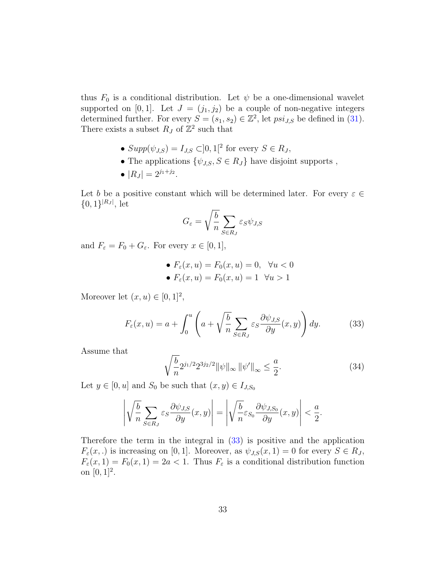thus  $F_0$  is a conditional distribution. Let  $\psi$  be a one-dimensional wavelet supported on [0, 1]. Let  $J = (j_1, j_2)$  be a couple of non-negative integers determined further. For every  $S = (s_1, s_2) \in \mathbb{Z}^2$ , let  $psi_{J,S}$  be defined in [\(31\)](#page-31-1). There exists a subset  $R_J$  of  $\mathbb{Z}^2$  such that

- $Supp(\psi_{J,S}) = I_{J,S} \subset ]0,1[^2$  for every  $S \in R_J$ ,
- The applications  $\{\psi_{J,S}, S \in R_J\}$  have disjoint supports,
- $|R_J| = 2^{j_1+j_2}.$

Let b be a positive constant which will be determined later. For every  $\varepsilon \in \mathbb{C}$  ${0,1\}^{|R_J|}$ , let

$$
G_{\varepsilon} = \sqrt{\frac{b}{n}} \sum_{S \in R_J} \varepsilon_S \psi_{J,S}
$$

and  $F_{\varepsilon} = F_0 + G_{\varepsilon}$ . For every  $x \in [0, 1]$ ,

\n- $$
F_{\varepsilon}(x, u) = F_0(x, u) = 0, \quad \forall u < 0
$$
\n- $F_{\varepsilon}(x, u) = F_0(x, u) = 1 \quad \forall u > 1$
\n

Moreover let  $(x, u) \in [0, 1]^2$ ,

<span id="page-32-0"></span>
$$
F_{\varepsilon}(x, u) = a + \int_0^u \left( a + \sqrt{\frac{b}{n}} \sum_{S \in R_J} \varepsilon_S \frac{\partial \psi_{J, S}}{\partial y}(x, y) \right) dy.
$$
 (33)

Assume that

<span id="page-32-1"></span>
$$
\sqrt{\frac{b}{n}} 2^{j_1/2} 2^{3j_2/2} ||\psi||_{\infty} ||\psi'||_{\infty} \le \frac{a}{2}.
$$
\n(34)

Let  $y \in [0, u]$  and  $S_0$  be such that  $(x, y) \in I_{J, S_0}$ 

$$
\left| \sqrt{\frac{b}{n}} \sum_{S \in R_J} \varepsilon_S \frac{\partial \psi_{J,S}}{\partial y}(x, y) \right| = \left| \sqrt{\frac{b}{n}} \varepsilon_{S_0} \frac{\partial \psi_{J,S_0}}{\partial y}(x, y) \right| < \frac{a}{2}.
$$

Therefore the term in the integral in [\(33\)](#page-32-0) is positive and the application  $F_{\varepsilon}(x,.)$  is increasing on [0, 1]. Moreover, as  $\psi_{J,S}(x,1) = 0$  for every  $S \in R_J$ ,  $F_{\varepsilon}(x,1) = F_0(x,1) = 2a < 1$ . Thus  $F_{\varepsilon}$  is a conditional distribution function on  $[0, 1]^2$ .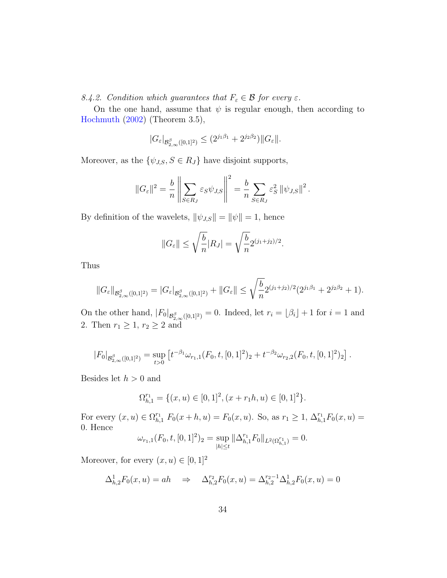8.4.2. Condition which guarantees that  $F_{\varepsilon} \in \mathcal{B}$  for every  $\varepsilon$ .

On the one hand, assume that  $\psi$  is regular enough, then according to [Hochmuth](#page-40-5) [\(2002\)](#page-40-5) (Theorem 3.5),

$$
|G_{\varepsilon}|_{\mathcal{B}^{\beta}_{2,\infty}([0,1]^2)} \leq (2^{j_1\beta_1} + 2^{j_2\beta_2}) ||G_{\varepsilon}||.
$$

Moreover, as the  $\{\psi_{J,S}, S \in R_J\}$  have disjoint supports,

$$
||G_{\varepsilon}||^{2} = \frac{b}{n} \left\| \sum_{S \in R_{J}} \varepsilon_{S} \psi_{J,S} \right\|^{2} = \frac{b}{n} \sum_{S \in R_{J}} \varepsilon_{S}^{2} ||\psi_{J,S}||^{2}.
$$

By definition of the wavelets,  $\|\psi_{J,S}\| = \|\psi\| = 1$ , hence

$$
||G_{\varepsilon}|| \leq \sqrt{\frac{b}{n}} |R_J| = \sqrt{\frac{b}{n}} 2^{(j_1+j_2)/2}.
$$

Thus

$$
||G_{\varepsilon}||_{\mathcal{B}^{\beta}_{2,\infty}([0,1]^2)} = |G_{\varepsilon}|_{\mathcal{B}^{\beta}_{2,\infty}([0,1]^2)} + ||G_{\varepsilon}|| \leq \sqrt{\frac{b}{n}} 2^{(j_1+j_2)/2} (2^{j_1\beta_1} + 2^{j_2\beta_2} + 1).
$$

On the other hand,  $|F_0|_{\mathcal{B}^{\beta}_{2,\infty}([0,1]^2)} = 0$ . Indeed, let  $r_i = \lfloor \beta_i \rfloor + 1$  for  $i = 1$  and 2. Then  $r_1 \geq 1$ ,  $r_2 \geq 2$  and

$$
|F_0|_{\mathcal{B}^{\beta}_{2,\infty}([0,1]^2)} = \sup_{t>0} \left[ t^{-\beta_1} \omega_{r_1,1}(F_0,t,[0,1]^2)_2 + t^{-\beta_2} \omega_{r_2,2}(F_0,t,[0,1]^2)_2 \right].
$$

Besides let  $h > 0$  and

$$
\Omega_{h,1}^{r_1} = \{ (x, u) \in [0, 1]^2, (x + r_1 h, u) \in [0, 1]^2 \}.
$$

For every  $(x, u) \in \Omega_{h,1}^{r_1} F_0(x+h, u) = F_0(x, u)$ . So, as  $r_1 \geq 1$ ,  $\Delta_{h,1}^{r_1} F_0(x, u) =$ 0. Hence

$$
\omega_{r_1,1}(F_0,t,[0,1]^2)_2 = \sup_{|h| \le t} \|\Delta_{h,1}^{r_1} F_0\|_{L^2(\Omega_{h,1}^{r_1})} = 0.
$$

Moreover, for every  $(x, u) \in [0, 1]^2$ 

$$
\Delta_{h,2}^1 F_0(x, u) = ah \quad \Rightarrow \quad \Delta_{h,2}^{r_2} F_0(x, u) = \Delta_{h,2}^{r_2 - 1} \Delta_{h,2}^1 F_0(x, u) = 0
$$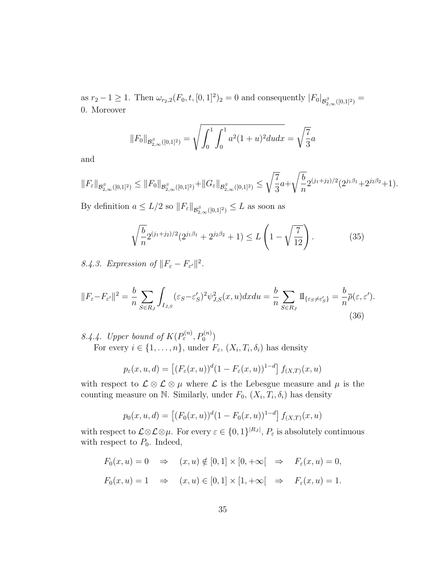as  $r_2 - 1 \ge 1$ . Then  $\omega_{r_2,2}(F_0,t,[0,1]^2)_2 = 0$  and consequently  $|F_0|_{\mathcal{B}^{\beta}_{2,\infty}([0,1]^2)} =$ 0. Moreover

$$
||F_0||_{\mathcal{B}_{2,\infty}^{\beta}([0,1]^2)} = \sqrt{\int_0^1 \int_0^1 a^2 (1+u)^2 du dx} = \sqrt{\frac{7}{3}}a
$$

and

$$
||F_{\varepsilon}||_{\mathcal{B}^{\beta}_{2,\infty}([0,1]^2)} \leq ||F_0||_{\mathcal{B}^{\beta}_{2,\infty}([0,1]^2)} + ||G_{\varepsilon}||_{\mathcal{B}^{\beta}_{2,\infty}([0,1]^2)} \leq \sqrt{\frac{7}{3}} a + \sqrt{\frac{b}{n}} 2^{(j_1+j_2)/2} (2^{j_1\beta_1} + 2^{j_2\beta_2} + 1).
$$

By definition  $a \leq L/2$  so  $||F_{\varepsilon}||_{\mathcal{B}^{\beta}_{2,\infty}([0,1]^2)} \leq L$  as soon as

<span id="page-34-0"></span>
$$
\sqrt{\frac{b}{n}} 2^{(j_1+j_2)/2} (2^{j_1\beta_1} + 2^{j_2\beta_2} + 1) \le L\left(1 - \sqrt{\frac{7}{12}}\right). \tag{35}
$$

8.4.3. Expression of  $||F_{\varepsilon} - F_{\varepsilon'}||^2$ .

$$
||F_{\varepsilon} - F_{\varepsilon'}||^2 = \frac{b}{n} \sum_{S \in R_J} \int_{I_{J,S}} (\varepsilon_S - \varepsilon_S')^2 \psi_{J,S}^2(x, u) dx du = \frac{b}{n} \sum_{S \in R_J} \Pi_{\{\varepsilon_S \neq \varepsilon_S'\}} = \frac{b}{n} \overline{\rho}(\varepsilon, \varepsilon').
$$
\n(36)

8.4.4. Upper bound of  $K(P_{\varepsilon}^{(n)}, P_0^{(n)})$ For every  $i \in \{1, \ldots, n\}$ , under  $F_{\varepsilon}$ ,  $(X_i, T_i, \delta_i)$  has density

$$
p_{\varepsilon}(x, u, d) = \left[ (F_{\varepsilon}(x, u))^{d} (1 - F_{\varepsilon}(x, u))^{1-d} \right] f_{(X, T)}(x, u)
$$

with respect to  $\mathcal{L} \otimes \mathcal{L} \otimes \mu$  where  $\mathcal{L}$  is the Lebesgue measure and  $\mu$  is the counting measure on N. Similarly, under  $F_0$ ,  $(X_i, T_i, \delta_i)$  has density

$$
p_0(x, u, d) = [(F_0(x, u))^d (1 - F_0(x, u))^{1-d}] f_{(X,T)}(x, u)
$$

with respect to  $\mathcal{L} \otimes \mathcal{L} \otimes \mu$ . For every  $\varepsilon \in \{0,1\}^{|R_J|}, P_{\varepsilon}$  is absolutely continuous with respect to  $P_0$ . Indeed,

$$
F_0(x, u) = 0 \Rightarrow (x, u) \notin [0, 1] \times [0, +\infty[ \Rightarrow F_{\varepsilon}(x, u) = 0,
$$
  

$$
F_0(x, u) = 1 \Rightarrow (x, u) \in [0, 1] \times [1, +\infty[ \Rightarrow F_{\varepsilon}(x, u) = 1.
$$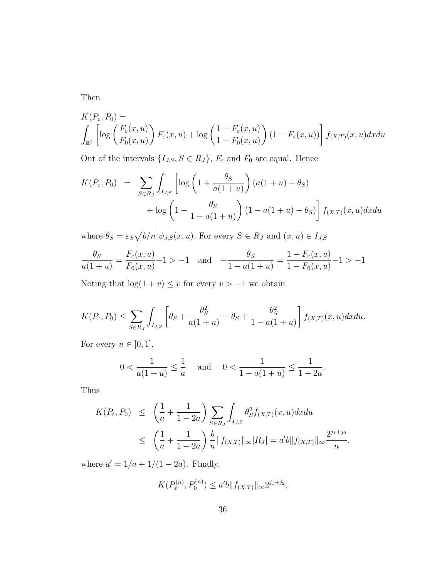Then

$$
K(P_{\varepsilon}, P_0) = \int_{\mathbb{R}^2} \left[ \log \left( \frac{F_{\varepsilon}(x, u)}{F_0(x, u)} \right) F_{\varepsilon}(x, u) + \log \left( \frac{1 - F_{\varepsilon}(x, u)}{1 - F_0(x, u)} \right) (1 - F_{\varepsilon}(x, u)) \right] f(x, x) (x, u) dx du
$$

Out of the intervals  $\{I_{J,S}, S \in R_J\}$ ,  $F_{\varepsilon}$  and  $F_0$  are equal. Hence

$$
K(P_{\varepsilon}, P_0) = \sum_{S \in R_J} \int_{I_{J,S}} \left[ \log \left( 1 + \frac{\theta_S}{a(1+u)} \right) (a(1+u) + \theta_S) + \log \left( 1 - \frac{\theta_S}{1 - a(1+u)} \right) (1 - a(1+u) - \theta_S) \right] f_{(X,T)}(x, u) dx du
$$

where  $\theta_S = \varepsilon_S \sqrt{b/n} \psi_{J,S}(x, u)$ . For every  $S \in R_J$  and  $(x, u) \in I_{J,S}$ 

$$
\frac{\theta_S}{a(1+u)} = \frac{F_{\varepsilon}(x,u)}{F_0(x,u)} - 1 > -1 \quad \text{and} \quad -\frac{\theta_S}{1 - a(1+u)} = \frac{1 - F_{\varepsilon}(x,u)}{1 - F_0(x,u)} - 1 > -1
$$

Noting that  $log(1 + v) \leq v$  for every  $v > -1$  we obtain

$$
K(P_{\varepsilon}, P_0) \le \sum_{S \in R_J} \int_{I_{J,S}} \left[ \theta_S + \frac{\theta_S^2}{a(1+u)} - \theta_S + \frac{\theta_S^2}{1 - a(1+u)} \right] f_{(X,T)}(x, u) dx du.
$$

For every  $u \in [0, 1],$ 

$$
0 < \frac{1}{a(1+u)} \le \frac{1}{a} \quad \text{and} \quad 0 < \frac{1}{1-a(1+u)} \le \frac{1}{1-2a}.
$$

Thus

$$
K(P_{\varepsilon}, P_0) \leq \left(\frac{1}{a} + \frac{1}{1 - 2a}\right) \sum_{S \in R_J} \int_{I_{J,S}} \theta_S^2 f_{(X,T)}(x, u) dx du
$$
  

$$
\leq \left(\frac{1}{a} + \frac{1}{1 - 2a}\right) \frac{b}{n} ||f_{(X,T)}||_{\infty} |R_J| = a'b ||f_{(X,T)}||_{\infty} \frac{2^{j_1 + j_2}}{n}.
$$

where  $a' = 1/a + 1/(1 - 2a)$ . Finally,

$$
K(P_{\varepsilon}^{(n)}, P_0^{(n)}) \le a'b \| f_{(X,T)} \|_{\infty} 2^{j_1+j_2}.
$$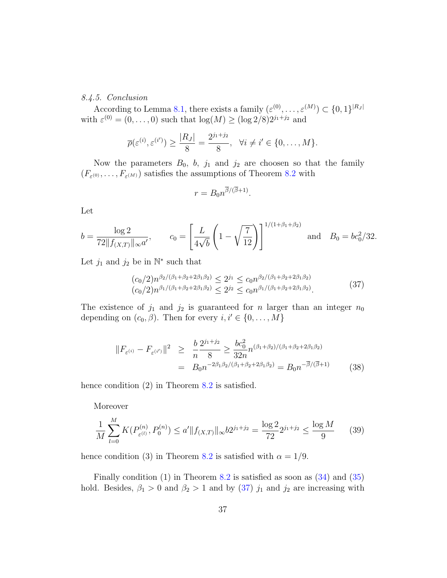#### 8.4.5. Conclusion

According to Lemma [8.1,](#page-30-0) there exists a family  $(\varepsilon^{(0)}, \ldots, \varepsilon^{(M)}) \subset \{0,1\}^{|R_J|}$ with  $\varepsilon^{(0)} = (0, \ldots, 0)$  such that  $\log(M) \ge (\log 2/8)2^{j_1+j_2}$  and

$$
\overline{\rho}(\varepsilon^{(i)}, \varepsilon^{(i')}) \ge \frac{|R_J|}{8} = \frac{2^{j_1+j_2}}{8}, \quad \forall i \ne i' \in \{0, \dots, M\}.
$$

Now the parameters  $B_0$ , b,  $j_1$  and  $j_2$  are choosen so that the family  $(F_{\varepsilon^{(0)}}, \ldots, F_{\varepsilon^{(M)}})$  satisfies the assumptions of Theorem [8](#page-30-1).2 with

$$
r = B_0 n^{\overline{\beta}/(\overline{\beta}+1)}
$$

Let

$$
b = \frac{\log 2}{72 \|f_{(X,T)}\|_{\infty} a'}, \qquad c_0 = \left[\frac{L}{4\sqrt{b}} \left(1 - \sqrt{\frac{7}{12}}\right)\right]^{1/(1+\beta_1+\beta_2)} \text{ and } B_0 = bc_0^2/32.
$$

Let  $j_1$  and  $j_2$  be in  $\mathbb{N}^*$  such that

<span id="page-36-0"></span>
$$
(c_0/2)n^{\beta_2/(\beta_1+\beta_2+2\beta_1\beta_2)} \le 2^{j_1} \le c_0 n^{\beta_2/(\beta_1+\beta_2+2\beta_1\beta_2)}
$$
  

$$
(c_0/2)n^{\beta_1/(\beta_1+\beta_2+2\beta_1\beta_2)} \le 2^{j_2} \le c_0 n^{\beta_1/(\beta_1+\beta_2+2\beta_1\beta_2)}.
$$
 (37)

.

The existence of  $j_1$  and  $j_2$  is guaranteed for n larger than an integer  $n_0$ depending on  $(c_0, \beta)$ . Then for every  $i, i' \in \{0, ..., M\}$ 

<span id="page-36-2"></span>
$$
||F_{\varepsilon^{(i)}} - F_{\varepsilon^{(i')}}||^2 \ge \frac{b}{n} \frac{2^{j_1+j_2}}{8} \ge \frac{bc_0^2}{32n} n^{(\beta_1+\beta_2)/(\beta_1+\beta_2+2\beta_1\beta_2)}
$$
  
=  $B_0 n^{-2\beta_1\beta_2/(\beta_1+\beta_2+2\beta_1\beta_2)} = B_0 n^{-\overline{\beta}/(\overline{\beta}+1)}$  (38)

hence condition (2) in Theorem [8](#page-30-1).2 is satisfied.

Moreover

<span id="page-36-1"></span>
$$
\frac{1}{M} \sum_{l=0}^{M} K(P_{\varepsilon^{(l)}}^{(n)}, P_0^{(n)}) \le a' \|f_{(X,T)}\|_{\infty} b 2^{j_1+j_2} = \frac{\log 2}{72} 2^{j_1+j_2} \le \frac{\log M}{9} \tag{39}
$$

hence condition (3) in Theorem [8](#page-30-1).2 is satisfied with  $\alpha = 1/9$ .

Finally condition  $(1)$  in Theorem [8](#page-30-1).2 is satisfied as soon as  $(34)$  and  $(35)$ hold. Besides,  $\beta_1 > 0$  and  $\beta_2 > 1$  and by [\(37\)](#page-36-0)  $j_1$  and  $j_2$  are increasing with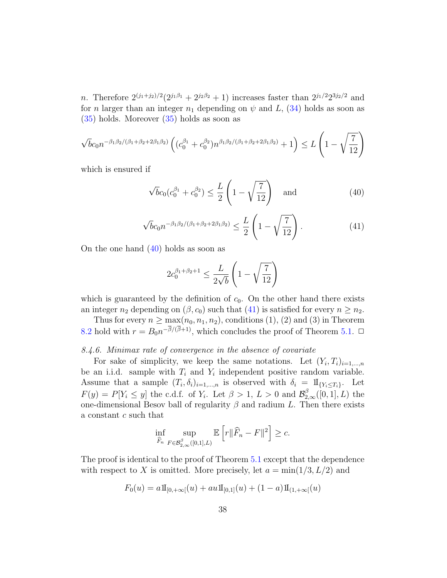*n*. Therefore  $2^{(j_1+j_2)/2}(2^{j_1\beta_1} + 2^{j_2\beta_2} + 1)$  increases faster than  $2^{j_1/2}2^{3j_2/2}$  and for *n* larger than an integer  $n_1$  depending on  $\psi$  and L, [\(34\)](#page-32-1) holds as soon as [\(35\)](#page-34-0) holds. Moreover [\(35\)](#page-34-0) holds as soon as

$$
\sqrt{b}c_0n^{-\beta_1\beta_2/(\beta_1+\beta_2+2\beta_1\beta_2)}\left((c_0^{\beta_1}+c_0^{\beta_2})n^{\beta_1\beta_2/(\beta_1+\beta_2+2\beta_1\beta_2)}+1\right)\leq L\left(1-\sqrt{\frac{7}{12}}\right)
$$

which is ensured if

<span id="page-37-0"></span>
$$
\sqrt{b}c_0(c_0^{\beta_1} + c_0^{\beta_2}) \le \frac{L}{2} \left(1 - \sqrt{\frac{7}{12}}\right) \quad \text{and} \tag{40}
$$

<span id="page-37-1"></span>
$$
\sqrt{b}c_0 n^{-\beta_1\beta_2/(\beta_1+\beta_2+2\beta_1\beta_2)} \le \frac{L}{2} \left(1 - \sqrt{\frac{7}{12}}\right). \tag{41}
$$

On the one hand  $(40)$  holds as soon as

$$
2c_0^{\beta_1+\beta_2+1} \le \frac{L}{2\sqrt{b}} \left(1 - \sqrt{\frac{7}{12}}\right)
$$

which is guaranteed by the definition of  $c_0$ . On the other hand there exists an integer  $n_2$  depending on  $(\beta, c_0)$  such that [\(41\)](#page-37-1) is satisfied for every  $n \geq n_2$ .

Thus for every  $n \geq \max(n_0, n_1, n_2)$ , conditions (1), (2) and (3) in Theorem [8.2](#page-30-1) hold with  $r = B_0 n^{-\beta/(\beta+1)}$ , which concludes the proof of Theorem [5.1.](#page-12-1)  $\Box$ 

## 8.4.6. Minimax rate of convergence in the absence of covariate

For sake of simplicity, we keep the same notations. Let  $(Y_i, T_i)_{i=1,\dots,n}$ be an i.i.d. sample with  $T_i$  and  $Y_i$  independent positive random variable. Assume that a sample  $(T_i, \delta_i)_{i=1,\dots,n}$  is observed with  $\delta_i = 1\!\mathrm{I}_{\{Y_i \leq T_i\}}$ . Let  $F(y) = P[Y_i \leq y]$  the c.d.f. of  $Y_i$ . Let  $\beta > 1$ ,  $L > 0$  and  $\mathcal{B}_{2,\infty}^{\beta}([0,1], L)$  the one-dimensional Besov ball of regularity  $\beta$  and radium L. Then there exists a constant c such that

$$
\inf_{\widehat{F}_n} \sup_{F \in \mathcal{B}_{2,\infty}^{\beta}([0,1],L)} \mathbb{E}\left[r\|\widehat{F}_n - F\|^2\right] \geq c.
$$

The proof is identical to the proof of Theorem [5.1](#page-12-1) except that the dependence with respect to X is omitted. More precisely, let  $a = \min(1/3, L/2)$  and

$$
F_0(u) = a \mathbf{1}_{[0, +\infty[}(u) + a u \mathbf{1}_{[0,1]}(u) + (1-a) \mathbf{1}_{(1, +\infty[}(u))
$$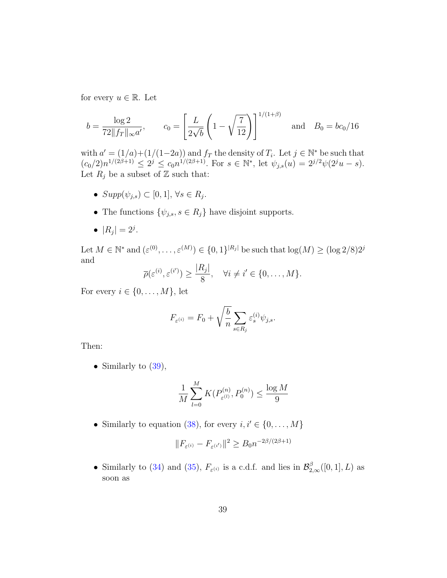for every  $u \in \mathbb{R}$ . Let

$$
b = \frac{\log 2}{72 \|f_T\|_{\infty} a'}, \qquad c_0 = \left[\frac{L}{2\sqrt{b}} \left(1 - \sqrt{\frac{7}{12}}\right)\right]^{1/(1+\beta)} \quad \text{and} \quad B_0 = bc_0/16
$$

with  $a' = (1/a)+(1/(1-2a))$  and  $f_T$  the density of  $T_i$ . Let  $j \in \mathbb{N}^*$  be such that  $(c_0/2)n^{1/(2\beta+1)} \leq 2^j \leq c_0n^{1/(2\beta+1)}$ . For  $s \in \mathbb{N}^*$ , let  $\psi_{j,s}(u) = 2^{j/2}\psi(2^j u - s)$ . Let  $R_i$  be a subset of  $\mathbb Z$  such that:

- $Supp(\psi_{j,s}) \subset [0,1], \forall s \in R_j.$
- The functions  $\{\psi_{j,s}, s \in R_j\}$  have disjoint supports.
- $|R_j| = 2^j$ .

Let  $M \in \mathbb{N}^*$  and  $(\varepsilon^{(0)}, \ldots, \varepsilon^{(M)}) \in \{0,1\}^{|R_j|}$  be such that  $\log(M) \ge (\log 2/8)2^j$ and

$$
\overline{\rho}(\varepsilon^{(i)}, \varepsilon^{(i')}) \ge \frac{|R_j|}{8}, \quad \forall i \neq i' \in \{0, \dots, M\}.
$$

For every  $i \in \{0, \ldots, M\}$ , let

$$
F_{\varepsilon^{(i)}} = F_0 + \sqrt{\frac{b}{n}} \sum_{s \in R_j} \varepsilon_s^{(i)} \psi_{j,s}.
$$

Then:

• Similarly to  $(39)$ ,

$$
\frac{1}{M} \sum_{l=0}^{M} K(P_{\varepsilon^{(l)}}^{(n)}, P_0^{(n)}) \le \frac{\log M}{9}
$$

• Similarly to equation [\(38\)](#page-36-2), for every  $i, i' \in \{0, ..., M\}$ 

$$
\|F_{\varepsilon^{(i)}}-F_{\varepsilon^{(i')}}\|^2\geq B_0n^{-2\beta/(2\beta+1)}
$$

• Similarly to [\(34\)](#page-32-1) and [\(35\)](#page-34-0),  $F_{\varepsilon^{(i)}}$  is a c.d.f. and lies in  $\mathcal{B}_{2,\infty}^{\beta}([0,1],L)$  as soon as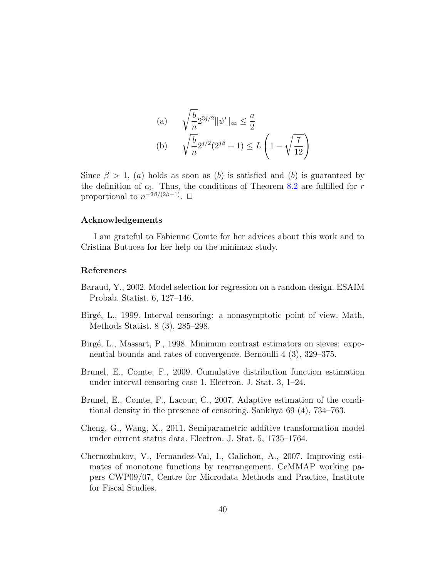(a) 
$$
\sqrt{\frac{b}{n}} 2^{3j/2} ||\psi'||_{\infty} \le \frac{a}{2}
$$
  
\n(b)  $\sqrt{\frac{b}{n}} 2^{j/2} (2^{j\beta} + 1) \le L \left(1 - \sqrt{\frac{7}{12}}\right)$ 

Since  $\beta > 1$ , (a) holds as soon as (b) is satisfied and (b) is guaranteed by the definition of  $c_0$ . Thus, the conditions of Theorem [8.2](#page-30-1) are fulfilled for r proportional to  $n^{-2\beta/(2\beta+1)}$ .  $\Box$ 

#### Acknowledgements

I am grateful to Fabienne Comte for her advices about this work and to Cristina Butucea for her help on the minimax study.

#### References

- <span id="page-39-6"></span>Baraud, Y., 2002. Model selection for regression on a random design. ESAIM Probab. Statist. 6, 127–146.
- <span id="page-39-1"></span>Birg´e, L., 1999. Interval censoring: a nonasymptotic point of view. Math. Methods Statist. 8 (3), 285–298.
- <span id="page-39-3"></span>Birg´e, L., Massart, P., 1998. Minimum contrast estimators on sieves: exponential bounds and rates of convergence. Bernoulli 4 (3), 329–375.
- <span id="page-39-2"></span>Brunel, E., Comte, F., 2009. Cumulative distribution function estimation under interval censoring case 1. Electron. J. Stat. 3, 1–24.
- <span id="page-39-4"></span>Brunel, E., Comte, F., Lacour, C., 2007. Adaptive estimation of the conditional density in the presence of censoring. Sankhya  $69(4)$ ,  $734-763$ .
- <span id="page-39-0"></span>Cheng, G., Wang, X., 2011. Semiparametric additive transformation model under current status data. Electron. J. Stat. 5, 1735–1764.
- <span id="page-39-5"></span>Chernozhukov, V., Fernandez-Val, I., Galichon, A., 2007. Improving estimates of monotone functions by rearrangement. CeMMAP working papers CWP09/07, Centre for Microdata Methods and Practice, Institute for Fiscal Studies.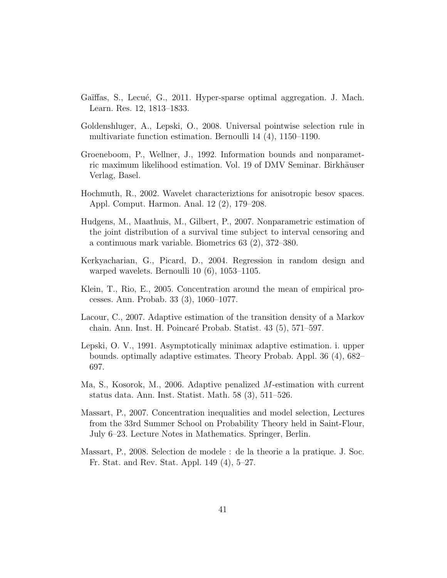- <span id="page-40-7"></span>Gaïffas, S., Lecué, G., 2011. Hyper-sparse optimal aggregation. J. Mach. Learn. Res. 12, 1813–1833.
- <span id="page-40-9"></span>Goldenshluger, A., Lepski, O., 2008. Universal pointwise selection rule in multivariate function estimation. Bernoulli 14 (4), 1150–1190.
- <span id="page-40-0"></span>Groeneboom, P., Wellner, J., 1992. Information bounds and nonparametric maximum likelihood estimation. Vol. 19 of DMV Seminar. Birkhäuser Verlag, Basel.
- <span id="page-40-5"></span>Hochmuth, R., 2002. Wavelet characteriztions for anisotropic besov spaces. Appl. Comput. Harmon. Anal. 12 (2), 179–208.
- <span id="page-40-1"></span>Hudgens, M., Maathuis, M., Gilbert, P., 2007. Nonparametric estimation of the joint distribution of a survival time subject to interval censoring and a continuous mark variable. Biometrics 63 (2), 372–380.
- <span id="page-40-10"></span>Kerkyacharian, G., Picard, D., 2004. Regression in random design and warped wavelets. Bernoulli 10 (6), 1053–1105.
- <span id="page-40-11"></span>Klein, T., Rio, E., 2005. Concentration around the mean of empirical processes. Ann. Probab. 33 (3), 1060–1077.
- <span id="page-40-6"></span>Lacour, C., 2007. Adaptive estimation of the transition density of a Markov chain. Ann. Inst. H. Poincar´e Probab. Statist. 43 (5), 571–597.
- <span id="page-40-8"></span>Lepski, O. V., 1991. Asymptotically minimax adaptive estimation. i. upper bounds. optimally adaptive estimates. Theory Probab. Appl. 36 (4), 682– 697.
- <span id="page-40-2"></span>Ma, S., Kosorok, M., 2006. Adaptive penalized M-estimation with current status data. Ann. Inst. Statist. Math. 58 (3), 511–526.
- <span id="page-40-3"></span>Massart, P., 2007. Concentration inequalities and model selection, Lectures from the 33rd Summer School on Probability Theory held in Saint-Flour, July 6–23. Lecture Notes in Mathematics. Springer, Berlin.
- <span id="page-40-4"></span>Massart, P., 2008. Selection de modele : de la theorie a la pratique. J. Soc. Fr. Stat. and Rev. Stat. Appl. 149 (4), 5–27.